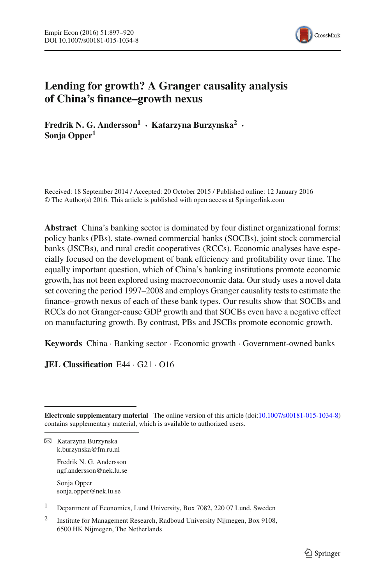

# **Lending for growth? A Granger causality analysis of China's finance–growth nexus**

**Fredrik N. G. Andersson1 · Katarzyna Burzynska2 · Sonja Opper1**

Received: 18 September 2014 / Accepted: 20 October 2015 / Published online: 12 January 2016 © The Author(s) 2016. This article is published with open access at Springerlink.com

**Abstract** China's banking sector is dominated by four distinct organizational forms: policy banks (PBs), state-owned commercial banks (SOCBs), joint stock commercial banks (JSCBs), and rural credit cooperatives (RCCs). Economic analyses have especially focused on the development of bank efficiency and profitability over time. The equally important question, which of China's banking institutions promote economic growth, has not been explored using macroeconomic data. Our study uses a novel data set covering the period 1997–2008 and employs Granger causality tests to estimate the finance–growth nexus of each of these bank types. Our results show that SOCBs and RCCs do not Granger-cause GDP growth and that SOCBs even have a negative effect on manufacturing growth. By contrast, PBs and JSCBs promote economic growth.

**Keywords** China · Banking sector · Economic growth · Government-owned banks

**JEL Classification** E44 · G21 · O16

Fredrik N. G. Andersson ngf.andersson@nek.lu.se

Sonja Opper sonja.opper@nek.lu.se

<sup>1</sup> Department of Economics, Lund University, Box 7082, 220 07 Lund, Sweden

<sup>2</sup> Institute for Management Research, Radboud University Nijmegen, Box 9108, 6500 HK Nijmegen, The Netherlands

**Electronic supplementary material** The online version of this article (doi[:10.1007/s00181-015-1034-8\)](http://dx.doi.org/10.1007/s00181-015-1034-8) contains supplementary material, which is available to authorized users.

B Katarzyna Burzynska k.burzynska@fm.ru.nl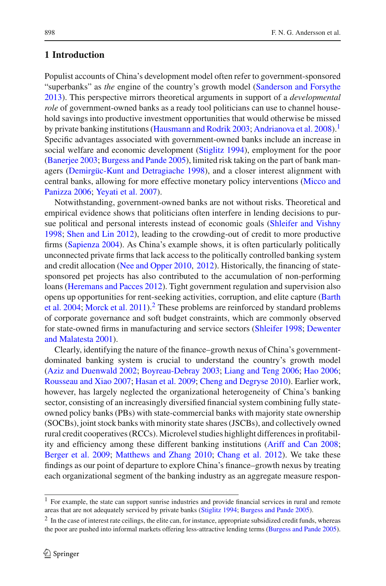## **1 Introduction**

Populist accounts of China's development model often refer to government-sponsored "superbanks" as *the* engine of the country's growth model [\(Sanderson and Forsythe](#page-23-0) [2013\)](#page-23-0). This perspective mirrors theoretical arguments in support of a *developmental role* of government-owned banks as a ready tool politicians can use to channel household savings into productive investment opportunities that would otherwise be missed by private banking institutions [\(Hausmann and Rodrik 2003;](#page-22-0) [Andrianova et al. 2008\)](#page-21-0).<sup>[1](#page-1-0)</sup> Specific advantages associated with government-owned banks include an increase in social welfare and economic development [\(Stiglitz 1994](#page-23-1)), employment for the poor [\(Banerjee 2003](#page-21-1); [Burgess and Pande 2005\)](#page-21-2), limited risk taking on the part of bank managers [\(Demirgüc-Kunt and Detragiache 1998](#page-22-1)), and a closer interest alignment with central [banks,](#page-22-2) [allowing](#page-22-2) [for](#page-22-2) [more](#page-22-2) [effective](#page-22-2) [monetary](#page-22-2) [policy](#page-22-2) [interventions](#page-22-2) [\(](#page-22-2)Micco and Panizza [2006;](#page-22-2) [Yeyati et al. 2007\)](#page-23-2).

Notwithstanding, government-owned banks are not without risks. Theoretical and empirical evidence shows that politicians often interfere in lending decisions to pursue political and personal interests instead of economic goals [\(Shleifer and Vishny](#page-23-3) [1998;](#page-23-3) [Shen and Lin 2012\)](#page-23-4), leading to the crowding-out of credit to more productive firms [\(Sapienza 2004\)](#page-23-5). As China's example shows, it is often particularly politically unconnected private firms that lack access to the politically controlled banking system and credit allocation [\(Nee and Opper 2010](#page-22-3), [2012\)](#page-22-4). Historically, the financing of statesponsored pet projects has also contributed to the accumulation of non-performing loans [\(Heremans and Pacces 2012\)](#page-22-5). Tight government regulation and supervision also ope[ns](#page-21-3) [up](#page-21-3) [opportunities](#page-21-3) [for](#page-21-3) [rent-seeking](#page-21-3) [activities,](#page-21-3) [corruption,](#page-21-3) [and](#page-21-3) [elite](#page-21-3) [capture](#page-21-3) [\(](#page-21-3)Barth et al. [2004](#page-21-3); [Morck et al. 2011](#page-22-6)).<sup>[2](#page-1-1)</sup> These problems are reinforced by standard problems of corporate governance and soft budget constraints, which are commonly observed for state-own[ed](#page-22-7) [firms](#page-22-7) [in](#page-22-7) [manufacturing](#page-22-7) [and](#page-22-7) [service](#page-22-7) [sectors](#page-22-7) [\(Shleifer 1998](#page-23-6)[;](#page-22-7) Dewenter and Malatesta [2001\)](#page-22-7).

Clearly, identifying the nature of the finance–growth nexus of China's governmentdominated banking system is crucial to understand the country's growth model [\(Aziz and Duenwald 2002;](#page-21-4) [Boyreau-Debray 2003](#page-21-5); [Liang and Teng 2006;](#page-22-8) [Hao 2006](#page-22-9); [Rousseau and Xiao 2007](#page-23-7); [Hasan et al. 2009;](#page-22-10) [Cheng and Degryse 2010\)](#page-21-6). Earlier work, however, has largely neglected the organizational heterogeneity of China's banking sector, consisting of an increasingly diversified financial system combining fully stateowned policy banks (PBs) with state-commercial banks with majority state ownership (SOCBs), joint stock banks with minority state shares (JSCBs), and collectively owned rural credit cooperatives (RCCs). Microlevel studies highlight differences in profitability and efficiency among these different banking institutions [\(Ariff and Can 2008](#page-21-7); [Berger et al. 2009](#page-21-8); [Matthews and Zhang 2010](#page-22-11); [Chang et al. 2012](#page-21-9)). We take these findings as our point of departure to explore China's finance–growth nexus by treating each organizational segment of the banking industry as an aggregate measure respon-

<span id="page-1-0"></span><sup>&</sup>lt;sup>1</sup> For example, the state can support sunrise industries and provide financial services in rural and remote areas that are not adequately serviced by private banks [\(Stiglitz 1994;](#page-23-1) [Burgess and Pande 2005](#page-21-2)).

<span id="page-1-1"></span><sup>&</sup>lt;sup>2</sup> In the case of interest rate ceilings, the elite can, for instance, appropriate subsidized credit funds, whereas the poor are pushed into informal markets offering less-attractive lending terms [\(Burgess and Pande 2005](#page-21-2)).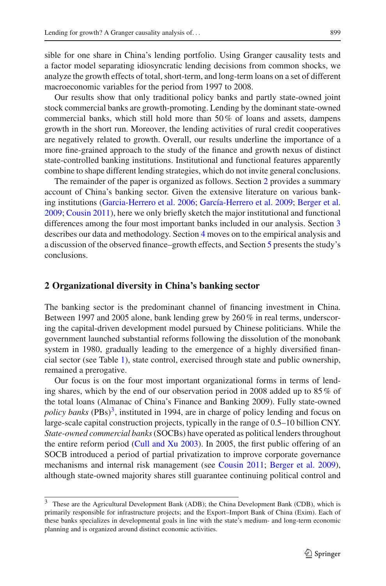sible for one share in China's lending portfolio. Using Granger causality tests and a factor model separating idiosyncratic lending decisions from common shocks, we analyze the growth effects of total, short-term, and long-term loans on a set of different macroeconomic variables for the period from 1997 to 2008.

Our results show that only traditional policy banks and partly state-owned joint stock commercial banks are growth-promoting. Lending by the dominant state-owned commercial banks, which still hold more than  $50\%$  of loans and assets, dampens growth in the short run. Moreover, the lending activities of rural credit cooperatives are negatively related to growth. Overall, our results underline the importance of a more fine-grained approach to the study of the finance and growth nexus of distinct state-controlled banking institutions. Institutional and functional features apparently combine to shape different lending strategies, which do not invite general conclusions.

The remainder of the paper is organized as follows. Section [2](#page-2-0) provides a summary account of China's banking sector. Given the extensive literature on various banking institutions [\(Garcia-Herrero et al. 2006](#page-22-12); [García-Herrero et al. 2009](#page-22-13); [Berger et al.](#page-21-8) [2009;](#page-21-8) [Cousin 2011\)](#page-21-10), here we only briefly sketch the major institutional and functional differences among the four most important banks included in our analysis. Section [3](#page-4-0) describes our data and methodology. Section [4](#page-11-0) moves on to the empirical analysis and a discussion of the observed finance–growth effects, and Section [5](#page-20-0) presents the study's conclusions.

## <span id="page-2-0"></span>**2 Organizational diversity in China's banking sector**

The banking sector is the predominant channel of financing investment in China. Between 1997 and 2005 alone, bank lending grew by 260% in real terms, underscoring the capital-driven development model pursued by Chinese politicians. While the government launched substantial reforms following the dissolution of the monobank system in 1980, gradually leading to the emergence of a highly diversified financial sector (see Table [1\)](#page-3-0), state control, exercised through state and public ownership, remained a prerogative.

Our focus is on the four most important organizational forms in terms of lending shares, which by the end of our observation period in 2008 added up to 85% of the total loans (Almanac of China's Finance and Banking 2009). Fully state-owned *policy banks* (PBs)<sup>3</sup>, instituted in 1994, are in charge of policy lending and focus on large-scale capital construction projects, typically in the range of 0.5–10 billion CNY. *State-owned commercial banks*(SOCBs) have operated as political lenders throughout the entire reform period [\(Cull and Xu 2003\)](#page-22-14). In 2005, the first public offering of an SOCB introduced a period of partial privatization to improve corporate governance mechanisms and internal risk management (see [Cousin 2011;](#page-21-10) [Berger et al. 2009](#page-21-8)), although state-owned majority shares still guarantee continuing political control and

<span id="page-2-1"></span><sup>3</sup> These are the Agricultural Development Bank (ADB); the China Development Bank (CDB), which is primarily responsible for infrastructure projects; and the Export–Import Bank of China (Exim). Each of these banks specializes in developmental goals in line with the state's medium- and long-term economic planning and is organized around distinct economic activities.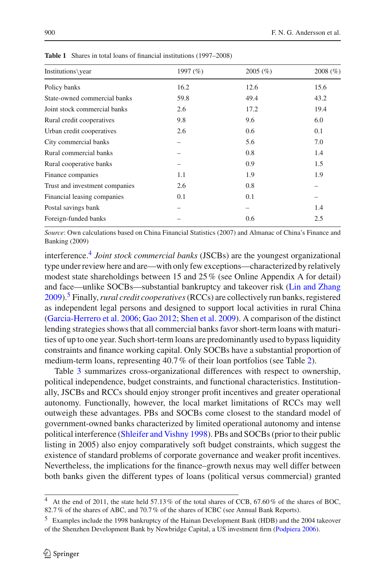| Institutions\year              | 1997 $(\%)$ | 2005(%) | 2008(%) |
|--------------------------------|-------------|---------|---------|
| Policy banks                   | 16.2        | 12.6    | 15.6    |
| State-owned commercial banks   | 59.8        | 49.4    | 43.2    |
| Joint stock commercial banks   | 2.6         | 17.2    | 19.4    |
| Rural credit cooperatives      | 9.8         | 9.6     | 6.0     |
| Urban credit cooperatives      | 2.6         | 0.6     | 0.1     |
| City commercial banks          |             | 5.6     | 7.0     |
| Rural commercial banks         |             | 0.8     | 1.4     |
| Rural cooperative banks        |             | 0.9     | 1.5     |
| Finance companies              | 1.1         | 1.9     | 1.9     |
| Trust and investment companies | 2.6         | 0.8     |         |
| Financial leasing companies    | 0.1         | 0.1     |         |
| Postal savings bank            |             |         | 1.4     |
| Foreign-funded banks           |             | 0.6     | 2.5     |

<span id="page-3-0"></span>**Table 1** Shares in total loans of financial institutions (1997–2008)

*Source*: Own calculations based on China Financial Statistics (2007) and Almanac of China's Finance and Banking (2009)

interference[.4](#page-3-1) *Joint stock commercial banks* (JSCBs) are the youngest organizational type under review here and are—with only few exceptions—characterized by relatively modest state shareholdings between 15 and 25% (see Online Appendix A for detail) and face—unlike SOCBs—substantial bankruptcy and takeover risk [\(Lin and Zhang](#page-22-15) [2009\)](#page-22-15).[5](#page-3-2) Finally,*rural credit cooperatives*(RCCs) are collectively run banks, registered as independent legal persons and designed to support local activities in rural China [\(Garcia-Herrero et al. 2006;](#page-22-12) [Gao 2012](#page-22-16); [Shen et al. 2009\)](#page-23-8). A comparison of the distinct lending strategies shows that all commercial banks favor short-term loans with maturities of up to one year. Such short-term loans are predominantly used to bypass liquidity constraints and finance working capital. Only SOCBs have a substantial proportion of medium-term loans, representing 40.7% of their loan portfolios (see Table [2\)](#page-4-1).

Table [3](#page-4-2) summarizes cross-organizational differences with respect to ownership, political independence, budget constraints, and functional characteristics. Institutionally, JSCBs and RCCs should enjoy stronger profit incentives and greater operational autonomy. Functionally, however, the local market limitations of RCCs may well outweigh these advantages. PBs and SOCBs come closest to the standard model of government-owned banks characterized by limited operational autonomy and intense political interference [\(Shleifer and Vishny 1998\)](#page-23-3). PBs and SOCBs (prior to their public listing in 2005) also enjoy comparatively soft budget constraints, which suggest the existence of standard problems of corporate governance and weaker profit incentives. Nevertheless, the implications for the finance–growth nexus may well differ between both banks given the different types of loans (political versus commercial) granted

<span id="page-3-1"></span><sup>4</sup> At the end of 2011, the state held 57.13% of the total shares of CCB, 67.60% of the shares of BOC, 82.7% of the shares of ABC, and 70.7% of the shares of ICBC (see Annual Bank Reports).

<span id="page-3-2"></span><sup>5</sup> Examples include the 1998 bankruptcy of the Hainan Development Bank (HDB) and the 2004 takeover of the Shenzhen Development Bank by Newbridge Capital, a US investment firm [\(Podpiera 2006](#page-22-17)).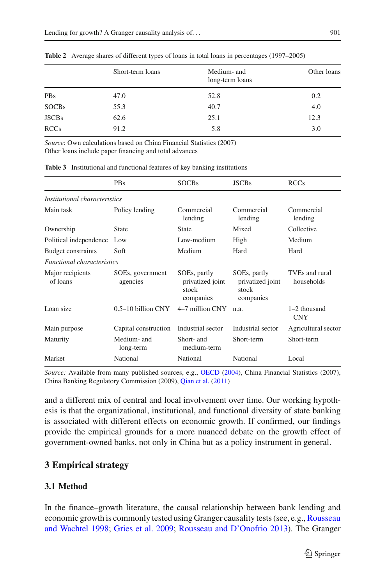|              | Short-term loans | Medium- and<br>long-term loans | Other loans |
|--------------|------------------|--------------------------------|-------------|
| <b>PBs</b>   | 47.0             | 52.8                           | 0.2         |
| <b>SOCBs</b> | 55.3             | 40.7                           | 4.0         |
| <b>JSCBs</b> | 62.6             | 25.1                           | 12.3        |
| <b>RCCs</b>  | 91.2             | 5.8                            | 3.0         |

<span id="page-4-1"></span>**Table 2** Average shares of different types of loans in total loans in percentages (1997–2005)

*Source*: Own calculations based on China Financial Statistics (2007) Other loans include paper financing and total advances

**Table 3** Institutional and functional features of key banking institutions

<span id="page-4-2"></span>

|                                   | <b>PBs</b>                   | <b>SOCBs</b>                                           | <b>JSCBs</b>                                           | <b>RCCs</b>                  |
|-----------------------------------|------------------------------|--------------------------------------------------------|--------------------------------------------------------|------------------------------|
| Institutional characteristics     |                              |                                                        |                                                        |                              |
| Main task                         | Policy lending               | Commercial<br>lending                                  | Commercial<br>lending                                  | Commercial<br>lending        |
| Ownership                         | State                        | <b>State</b>                                           | Mixed                                                  | Collective                   |
| Political independence            | Low                          | Low-medium                                             | High                                                   | Medium                       |
| Budget constraints                | Soft                         | Medium                                                 | Hard                                                   | Hard                         |
| <b>Functional characteristics</b> |                              |                                                        |                                                        |                              |
| Major recipients<br>of loans      | SOEs, government<br>agencies | SOEs, partly<br>privatized joint<br>stock<br>companies | SOEs, partly<br>privatized joint<br>stock<br>companies | TVEs and rural<br>households |
| Loan size                         | $0.5-10$ billion CNY         | 4–7 million CNY                                        | n.a.                                                   | 1–2 thousand<br><b>CNY</b>   |
| Main purpose                      | Capital construction         | Industrial sector                                      | Industrial sector                                      | Agricultural sector          |
| Maturity                          | Medium- and<br>long-term     | Short- and<br>medium-term                              | Short-term                                             | Short-term                   |
| Market                            | National                     | National                                               | National                                               | Local                        |

*Source:* Available from many published sources, e.g., [OECD](#page-22-18) [\(2004\)](#page-22-18), China Financial Statistics (2007), China Banking Regulatory Commission (2009), [Qian et al.](#page-23-9) [\(2011](#page-23-9))

and a different mix of central and local involvement over time. Our working hypothesis is that the organizational, institutional, and functional diversity of state banking is associated with different effects on economic growth. If confirmed, our findings provide the empirical grounds for a more nuanced debate on the growth effect of government-owned banks, not only in China but as a policy instrument in general.

# <span id="page-4-0"></span>**3 Empirical strategy**

## **3.1 Method**

In the finance–growth literature, the causal relationship between bank lending and economic gr[owth](#page-23-10) [is](#page-23-10) [commonly](#page-23-10) [tested](#page-23-10) [using](#page-23-10) [Granger](#page-23-10) [causality](#page-23-10) [tests](#page-23-10) [\(see,](#page-23-10) [e.g.,](#page-23-10) Rousseau and Wachtel [1998;](#page-23-10) [Gries et al. 2009;](#page-22-19) [Rousseau and D'Onofrio 2013\)](#page-23-11). The Granger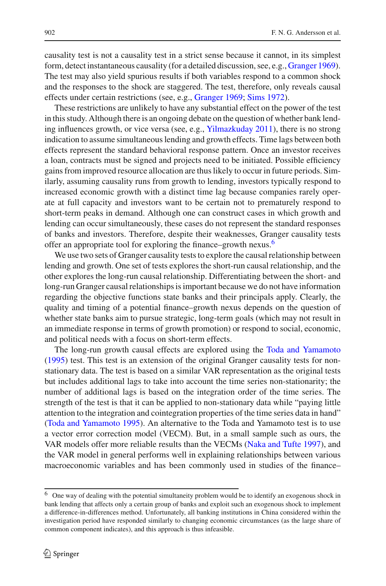causality test is not a causality test in a strict sense because it cannot, in its simplest form, detect instantaneous causality (for a detailed discussion, see, e.g., [Granger 1969](#page-22-20)). The test may also yield spurious results if both variables respond to a common shock and the responses to the shock are staggered. The test, therefore, only reveals causal effects under certain restrictions (see, e.g., [Granger 1969](#page-22-20); [Sims 1972](#page-23-12)).

These restrictions are unlikely to have any substantial effect on the power of the test in this study. Although there is an ongoing debate on the question of whether bank lending influences growth, or vice versa (see, e.g., [Yilmazkuday 2011\)](#page-23-13), there is no strong indication to assume simultaneous lending and growth effects. Time lags between both effects represent the standard behavioral response pattern. Once an investor receives a loan, contracts must be signed and projects need to be initiated. Possible efficiency gains from improved resource allocation are thus likely to occur in future periods. Similarly, assuming causality runs from growth to lending, investors typically respond to increased economic growth with a distinct time lag because companies rarely operate at full capacity and investors want to be certain not to prematurely respond to short-term peaks in demand. Although one can construct cases in which growth and lending can occur simultaneously, these cases do not represent the standard responses of banks and investors. Therefore, despite their weaknesses, Granger causality tests offer an appropriate tool for exploring the finance–growth nexus.<sup>[6](#page-5-0)</sup>

We use two sets of Granger causality tests to explore the causal relationship between lending and growth. One set of tests explores the short-run causal relationship, and the other explores the long-run causal relationship. Differentiating between the short- and long-run Granger causal relationships is important because we do not have information regarding the objective functions state banks and their principals apply. Clearly, the quality and timing of a potential finance–growth nexus depends on the question of whether state banks aim to pursue strategic, long-term goals (which may not result in an immediate response in terms of growth promotion) or respond to social, economic, and political needs with a focus on short-term effects.

The long-run growth causal effects are explored using the [Toda and Yamamoto](#page-23-14) [\(1995\)](#page-23-14) test. This test is an extension of the original Granger causality tests for nonstationary data. The test is based on a similar VAR representation as the original tests but includes additional lags to take into account the time series non-stationarity; the number of additional lags is based on the integration order of the time series. The strength of the test is that it can be applied to non-stationary data while "paying little attention to the integration and cointegration properties of the time series data in hand" [\(Toda and Yamamoto 1995\)](#page-23-14). An alternative to the Toda and Yamamoto test is to use a vector error correction model (VECM). But, in a small sample such as ours, the VAR models offer more reliable results than the VECMs [\(Naka and Tufte 1997](#page-22-21)), and the VAR model in general performs well in explaining relationships between various macroeconomic variables and has been commonly used in studies of the finance–

<span id="page-5-0"></span><sup>6</sup> One way of dealing with the potential simultaneity problem would be to identify an exogenous shock in bank lending that affects only a certain group of banks and exploit such an exogenous shock to implement a difference-in-differences method. Unfortunately, all banking institutions in China considered within the investigation period have responded similarly to changing economic circumstances (as the large share of common component indicates), and this approach is thus infeasible.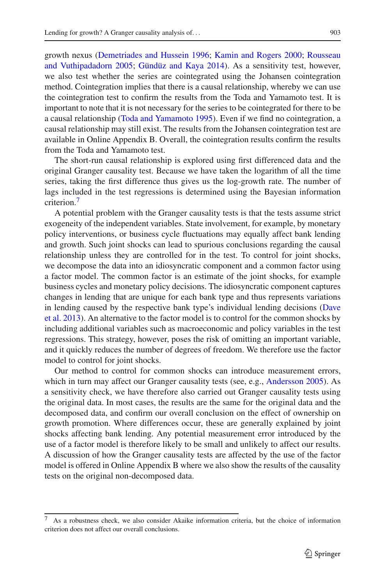growth nexus [\(Demetriades and Hussein 1996](#page-22-22)[;](#page-23-15) [Kamin and Rogers 2000;](#page-22-23) Rousseau and Vuthipadadorn [2005](#page-23-15); [Gündüz and Kaya 2014\)](#page-22-24). As a sensitivity test, however, we also test whether the series are cointegrated using the Johansen cointegration method. Cointegration implies that there is a causal relationship, whereby we can use the cointegration test to confirm the results from the Toda and Yamamoto test. It is important to note that it is not necessary for the series to be cointegrated for there to be a causal relationship [\(Toda and Yamamoto 1995](#page-23-14)). Even if we find no cointegration, a causal relationship may still exist. The results from the Johansen cointegration test are available in Online Appendix B. Overall, the cointegration results confirm the results from the Toda and Yamamoto test.

The short-run causal relationship is explored using first differenced data and the original Granger causality test. Because we have taken the logarithm of all the time series, taking the first difference thus gives us the log-growth rate. The number of lags included in the test regressions is determined using the Bayesian information criterion.<sup>[7](#page-6-0)</sup>

A potential problem with the Granger causality tests is that the tests assume strict exogeneity of the independent variables. State involvement, for example, by monetary policy interventions, or business cycle fluctuations may equally affect bank lending and growth. Such joint shocks can lead to spurious conclusions regarding the causal relationship unless they are controlled for in the test. To control for joint shocks, we decompose the data into an idiosyncratic component and a common factor using a factor model. The common factor is an estimate of the joint shocks, for example business cycles and monetary policy decisions. The idiosyncratic component captures changes in lending that are unique for each bank type and thus represents variations in le[nding](#page-22-25) [caused](#page-22-25) [by](#page-22-25) [the](#page-22-25) [respective](#page-22-25) [bank](#page-22-25) [type's](#page-22-25) [individual](#page-22-25) [lending](#page-22-25) [decisions](#page-22-25) [\(](#page-22-25)Dave et al. [2013\)](#page-22-25). An alternative to the factor model is to control for the common shocks by including additional variables such as macroeconomic and policy variables in the test regressions. This strategy, however, poses the risk of omitting an important variable, and it quickly reduces the number of degrees of freedom. We therefore use the factor model to control for joint shocks.

Our method to control for common shocks can introduce measurement errors, which in turn may affect our Granger causality tests (see, e.g., [Andersson 2005](#page-21-11)). As a sensitivity check, we have therefore also carried out Granger causality tests using the original data. In most cases, the results are the same for the original data and the decomposed data, and confirm our overall conclusion on the effect of ownership on growth promotion. Where differences occur, these are generally explained by joint shocks affecting bank lending. Any potential measurement error introduced by the use of a factor model is therefore likely to be small and unlikely to affect our results. A discussion of how the Granger causality tests are affected by the use of the factor model is offered in Online Appendix B where we also show the results of the causality tests on the original non-decomposed data.

<span id="page-6-0"></span><sup>7</sup> As a robustness check, we also consider Akaike information criteria, but the choice of information criterion does not affect our overall conclusions.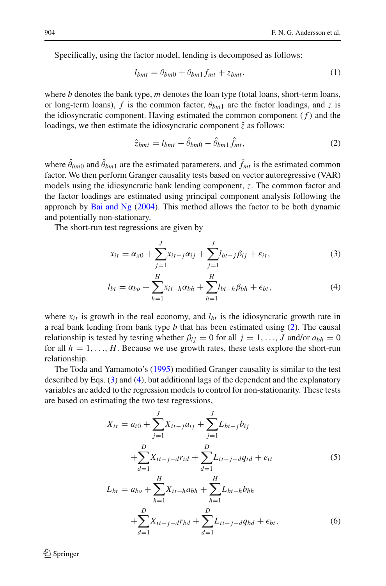Specifically, using the factor model, lending is decomposed as follows:

$$
l_{bmt} = \theta_{bm0} + \theta_{bm1} f_{mt} + z_{bmt}, \qquad (1)
$$

where *b* denotes the bank type, *m* denotes the loan type (total loans, short-term loans, or long-term loans), *f* is the common factor,  $\theta_{bm}$  are the factor loadings, and *z* is the idiosyncratic component. Having estimated the common component  $(f)$  and the loadings, we then estimate the idiosyncratic component  $\hat{z}$  as follows:

$$
\hat{z}_{bmt} = l_{bmt} - \hat{\theta}_{bm0} - \hat{\theta}_{bm1} \hat{f}_{mt}, \qquad (2)
$$

<span id="page-7-0"></span>where  $\theta_{bm0}$  and  $\theta_{bm1}$  are the estimated parameters, and  $f_{mt}$  is the estimated common factor. We then perform Granger causality tests based on vector autoregressive (VAR) models using the idiosyncratic bank lending component, *z*. The common factor and the factor loadings are estimated using principal component analysis following the approach by [Bai and Ng](#page-21-12) [\(2004](#page-21-12)). This method allows the factor to be both dynamic and potentially non-stationary.

<span id="page-7-1"></span>The short-run test regressions are given by

$$
x_{it} = \alpha_{x0} + \sum_{j=1}^{J} x_{it-j} \alpha_{ij} + \sum_{j=1}^{J} l_{bt-j} \beta_{ij} + \varepsilon_{it},
$$
\n(3)

$$
l_{bt} = \alpha_{bo} + \sum_{h=1}^{H} x_{it-h} \alpha_{bh} + \sum_{h=1}^{H} l_{bt-h} \beta_{bh} + \epsilon_{bt},
$$
\n(4)

where  $x_{it}$  is growth in the real economy, and  $l_{bt}$  is the idiosyncratic growth rate in a real bank lending from bank type *b* that has been estimated using [\(2\)](#page-7-0). The causal relationship is tested by testing whether  $\beta_{ij} = 0$  for all  $j = 1, ..., J$  and/or  $a_{bh} = 0$ for all  $h = 1, \ldots, H$ . Because we use growth rates, these tests explore the short-run relationship.

The Toda and Yamamoto's [\(1995](#page-23-14)) modified Granger causality is similar to the test described by Eqs. [\(3\)](#page-7-1) and [\(4\)](#page-7-1), but additional lags of the dependent and the explanatory variables are added to the regression models to control for non-stationarity. These tests are based on estimating the two test regressions,

$$
X_{it} = a_{i0} + \sum_{j=1}^{J} X_{it-j} a_{ij} + \sum_{j=1}^{J} L_{bt-j} b_{ij}
$$
  
+
$$
\sum_{d=1}^{D} X_{it-j-d} r_{id} + \sum_{d=1}^{D} L_{it-j-d} q_{id} + e_{it}
$$
  

$$
L_{bt} = a_{bo} + \sum_{h=1}^{H} X_{it-h} a_{bh} + \sum_{h=1}^{H} L_{bt-h} b_{bh}
$$
 (5)

$$
+\sum_{d=1}^{D} X_{it-j-d}r_{bd} + \sum_{d=1}^{D} L_{it-j-d}q_{bd} + \epsilon_{bt},
$$
\n(6)

 $\circled{2}$  Springer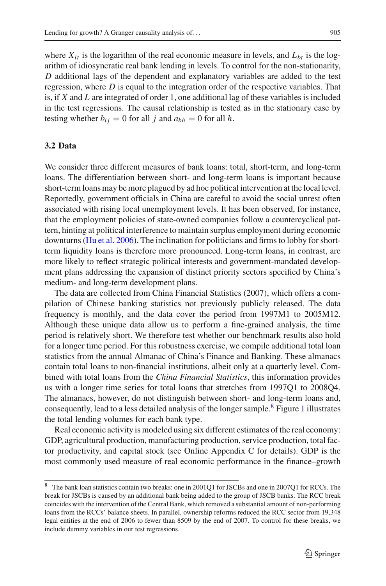where  $X_{it}$  is the logarithm of the real economic measure in levels, and  $L_{bt}$  is the logarithm of idiosyncratic real bank lending in levels. To control for the non-stationarity, *D* additional lags of the dependent and explanatory variables are added to the test regression, where *D* is equal to the integration order of the respective variables. That is, if *X* and *L* are integrated of order 1, one additional lag of these variables is included in the test regressions. The causal relationship is tested as in the stationary case by testing whether  $b_{ij} = 0$  for all *j* and  $a_{bh} = 0$  for all *h*.

### **3.2 Data**

We consider three different measures of bank loans: total, short-term, and long-term loans. The differentiation between short- and long-term loans is important because short-term loans may be more plagued by ad hoc political intervention at the local level. Reportedly, government officials in China are careful to avoid the social unrest often associated with rising local unemployment levels. It has been observed, for instance, that the employment policies of state-owned companies follow a countercyclical pattern, hinting at political interference to maintain surplus employment during economic downturns [\(Hu et al. 2006](#page-22-26)). The inclination for politicians and firms to lobby for shortterm liquidity loans is therefore more pronounced. Long-term loans, in contrast, are more likely to reflect strategic political interests and government-mandated development plans addressing the expansion of distinct priority sectors specified by China's medium- and long-term development plans.

The data are collected from China Financial Statistics (2007), which offers a compilation of Chinese banking statistics not previously publicly released. The data frequency is monthly, and the data cover the period from 1997M1 to 2005M12. Although these unique data allow us to perform a fine-grained analysis, the time period is relatively short. We therefore test whether our benchmark results also hold for a longer time period. For this robustness exercise, we compile additional total loan statistics from the annual Almanac of China's Finance and Banking. These almanacs contain total loans to non-financial institutions, albeit only at a quarterly level. Combined with total loans from the *China Financial Statistics*, this information provides us with a longer time series for total loans that stretches from 1997Q1 to 2008Q4. The almanacs, however, do not distinguish between short- and long-term loans and, consequently, lead to a less detailed analysis of the longer sample.<sup>[8](#page-8-0)</sup> Figure [1](#page-9-0) illustrates the total lending volumes for each bank type.

Real economic activity is modeled using six different estimates of the real economy: GDP, agricultural production, manufacturing production, service production, total factor productivity, and capital stock (see Online Appendix C for details). GDP is the most commonly used measure of real economic performance in the finance–growth

<span id="page-8-0"></span><sup>8</sup> The bank loan statistics contain two breaks: one in 2001Q1 for JSCBs and one in 2007Q1 for RCCs. The break for JSCBs is caused by an additional bank being added to the group of JSCB banks. The RCC break coincides with the intervention of the Central Bank, which removed a substantial amount of non-performing loans from the RCCs' balance sheets. In parallel, ownership reforms reduced the RCC sector from 19,348 legal entities at the end of 2006 to fewer than 8509 by the end of 2007. To control for these breaks, we include dummy variables in our test regressions.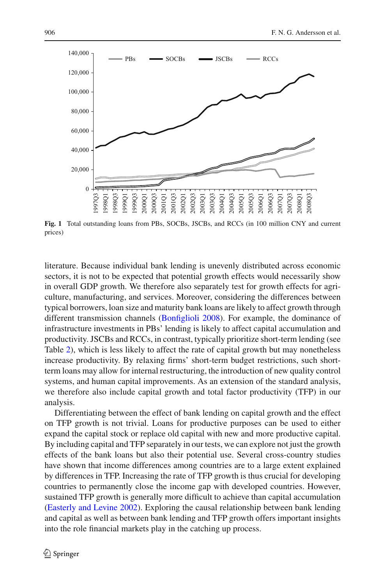

<span id="page-9-0"></span>**Fig. 1** Total outstanding loans from PBs, SOCBs, JSCBs, and RCCs (in 100 million CNY and current prices)

literature. Because individual bank lending is unevenly distributed across economic sectors, it is not to be expected that potential growth effects would necessarily show in overall GDP growth. We therefore also separately test for growth effects for agriculture, manufacturing, and services. Moreover, considering the differences between typical borrowers, loan size and maturity bank loans are likely to affect growth through different transmission channels [\(Bonfiglioli 2008\)](#page-21-13). For example, the dominance of infrastructure investments in PBs' lending is likely to affect capital accumulation and productivity. JSCBs and RCCs, in contrast, typically prioritize short-term lending (see Table [2\)](#page-4-1), which is less likely to affect the rate of capital growth but may nonetheless increase productivity. By relaxing firms' short-term budget restrictions, such shortterm loans may allow for internal restructuring, the introduction of new quality control systems, and human capital improvements. As an extension of the standard analysis, we therefore also include capital growth and total factor productivity (TFP) in our analysis.

Differentiating between the effect of bank lending on capital growth and the effect on TFP growth is not trivial. Loans for productive purposes can be used to either expand the capital stock or replace old capital with new and more productive capital. By including capital and TFP separately in our tests, we can explore not just the growth effects of the bank loans but also their potential use. Several cross-country studies have shown that income differences among countries are to a large extent explained by differences in TFP. Increasing the rate of TFP growth is thus crucial for developing countries to permanently close the income gap with developed countries. However, sustained TFP growth is generally more difficult to achieve than capital accumulation [\(Easterly and Levine 2002\)](#page-22-27). Exploring the causal relationship between bank lending and capital as well as between bank lending and TFP growth offers important insights into the role financial markets play in the catching up process.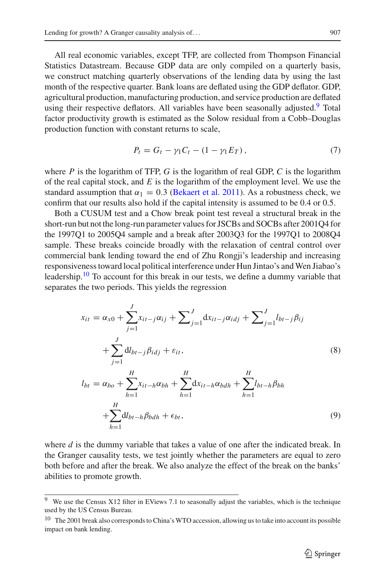All real economic variables, except TFP, are collected from Thompson Financial Statistics Datastream. Because GDP data are only compiled on a quarterly basis, we construct matching quarterly observations of the lending data by using the last month of the respective quarter. Bank loans are deflated using the GDP deflator. GDP, agricultural production, manufacturing production, and service production are deflated using their respective deflators. All variables have been seasonally adjusted.<sup>9</sup> Total factor productivity growth is estimated as the Solow residual from a Cobb–Douglas production function with constant returns to scale,

$$
P_t = G_t - \gamma_1 C_t - (1 - \gamma_1 E_T), \tag{7}
$$

where  $P$  is the logarithm of TFP,  $G$  is the logarithm of real GDP,  $C$  is the logarithm of the real capital stock, and *E* is the logarithm of the employment level. We use the standard assumption that  $\alpha_1 = 0.3$  [\(Bekaert et al. 2011](#page-21-14)). As a robustness check, we confirm that our results also hold if the capital intensity is assumed to be 0.4 or 0.5.

Both a CUSUM test and a Chow break point test reveal a structural break in the short-run but not the long-run parameter values for JSCBs and SOCBs after 2001Q4 for the 1997Q1 to 2005Q4 sample and a break after 2003Q3 for the 1997Q1 to 2008Q4 sample. These breaks coincide broadly with the relaxation of central control over commercial bank lending toward the end of Zhu Rongji's leadership and increasing responsiveness toward local political interference under Hun Jintao's and Wen Jiabao's leadership.<sup>10</sup> To account for this break in our tests, we define a dummy variable that separates the two periods. This yields the regression

$$
x_{it} = \alpha_{x0} + \sum_{j=1}^{J} x_{it-j} \alpha_{ij} + \sum_{j=1}^{J} dx_{it-j} \alpha_{idj} + \sum_{j=1}^{J} l_{bt-j} \beta_{ij} + \sum_{j=1}^{J} d l_{bt-j} \beta_{idj} + \varepsilon_{it},
$$
\n(8)

$$
l_{bt} = \alpha_{bo} + \sum_{h=1}^{H} x_{it-h} \alpha_{bh} + \sum_{h=1}^{H} dx_{it-h} \alpha_{bdh} + \sum_{h=1}^{H} l_{bt-h} \beta_{bh} + \sum_{h=1}^{H} dl_{bt-h} \beta_{bdh} + \epsilon_{bt},
$$
\n(9)

where *d* is the dummy variable that takes a value of one after the indicated break. In the Granger causality tests, we test jointly whether the parameters are equal to zero both before and after the break. We also analyze the effect of the break on the banks' abilities to promote growth.

<span id="page-10-0"></span><sup>&</sup>lt;sup>9</sup> We use the Census X12 filter in EViews 7.1 to seasonally adjust the variables, which is the technique used by the US Census Bureau.

<span id="page-10-1"></span><sup>&</sup>lt;sup>10</sup> The 2001 break also corresponds to China's WTO accession, allowing us to take into account its possible impact on bank lending.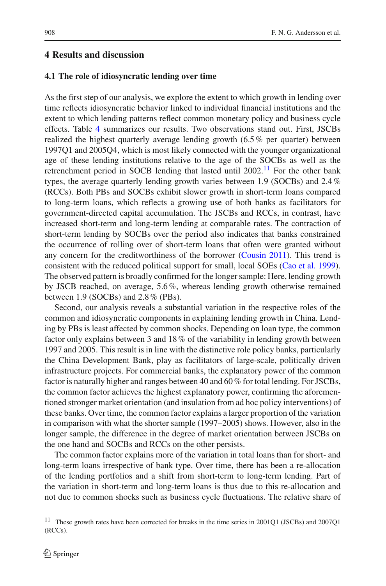## <span id="page-11-0"></span>**4 Results and discussion**

### **4.1 The role of idiosyncratic lending over time**

As the first step of our analysis, we explore the extent to which growth in lending over time reflects idiosyncratic behavior linked to individual financial institutions and the extent to which lending patterns reflect common monetary policy and business cycle effects. Table [4](#page-12-0) summarizes our results. Two observations stand out. First, JSCBs realized the highest quarterly average lending growth (6.5% per quarter) between 1997Q1 and 2005Q4, which is most likely connected with the younger organizational age of these lending institutions relative to the age of the SOCBs as well as the retrenchment period in SOCB lending that lasted until  $2002$ .<sup>[11](#page-11-1)</sup> For the other bank types, the average quarterly lending growth varies between 1.9 (SOCBs) and 2.4% (RCCs). Both PBs and SOCBs exhibit slower growth in short-term loans compared to long-term loans, which reflects a growing use of both banks as facilitators for government-directed capital accumulation. The JSCBs and RCCs, in contrast, have increased short-term and long-term lending at comparable rates. The contraction of short-term lending by SOCBs over the period also indicates that banks constrained the occurrence of rolling over of short-term loans that often were granted without any concern for the creditworthiness of the borrower [\(Cousin 2011\)](#page-21-10). This trend is consistent with the reduced political support for small, local SOEs [\(Cao et al. 1999](#page-21-15)). The observed pattern is broadly confirmed for the longer sample: Here, lending growth by JSCB reached, on average, 5.6%, whereas lending growth otherwise remained between 1.9 (SOCBs) and 2.8% (PBs).

Second, our analysis reveals a substantial variation in the respective roles of the common and idiosyncratic components in explaining lending growth in China. Lending by PBs is least affected by common shocks. Depending on loan type, the common factor only explains between 3 and 18% of the variability in lending growth between 1997 and 2005. This result is in line with the distinctive role policy banks, particularly the China Development Bank, play as facilitators of large-scale, politically driven infrastructure projects. For commercial banks, the explanatory power of the common factor is naturally higher and ranges between 40 and 60% for total lending. For JSCBs, the common factor achieves the highest explanatory power, confirming the aforementioned stronger market orientation (and insulation from ad hoc policy interventions) of these banks. Over time, the common factor explains a larger proportion of the variation in comparison with what the shorter sample (1997–2005) shows. However, also in the longer sample, the difference in the degree of market orientation between JSCBs on the one hand and SOCBs and RCCs on the other persists.

The common factor explains more of the variation in total loans than for short- and long-term loans irrespective of bank type. Over time, there has been a re-allocation of the lending portfolios and a shift from short-term to long-term lending. Part of the variation in short-term and long-term loans is thus due to this re-allocation and not due to common shocks such as business cycle fluctuations. The relative share of

<span id="page-11-1"></span><sup>11</sup> These growth rates have been corrected for breaks in the time series in 2001Q1 (JSCBs) and 2007Q1 (RCCs).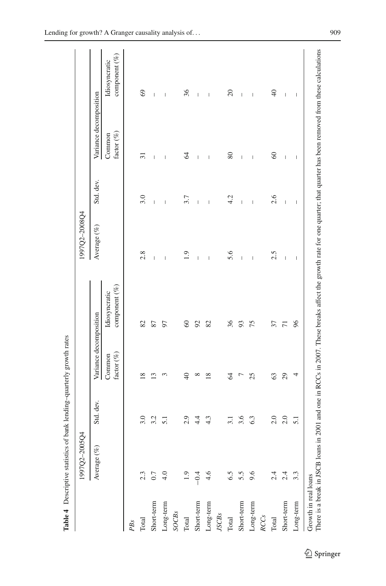| $\mathfrak{L}$<br>$80\,$<br>$\infty$<br>$\overline{31}$<br>$\mathbf{I}$<br>$\mathsf I$<br>$\overline{\phantom{a}}$<br>$\mathbf{I}$<br>$\begin{array}{c} \rule{0pt}{2.5ex} \rule{0pt}{2.5ex} \rule{0pt}{2.5ex} \rule{0pt}{2.5ex} \rule{0pt}{2.5ex} \rule{0pt}{2.5ex} \rule{0pt}{2.5ex} \rule{0pt}{2.5ex} \rule{0pt}{2.5ex} \rule{0pt}{2.5ex} \rule{0pt}{2.5ex} \rule{0pt}{2.5ex} \rule{0pt}{2.5ex} \rule{0pt}{2.5ex} \rule{0pt}{2.5ex} \rule{0pt}{2.5ex} \rule{0pt}{2.5ex} \rule{0pt}{2.5ex} \rule{0pt}{2.5ex} \rule{0$<br>$\begin{array}{c} \rule{0pt}{2.5ex} \rule{0pt}{2.5ex} \rule{0pt}{2.5ex} \rule{0pt}{2.5ex} \rule{0pt}{2.5ex} \rule{0pt}{2.5ex} \rule{0pt}{2.5ex} \rule{0pt}{2.5ex} \rule{0pt}{2.5ex} \rule{0pt}{2.5ex} \rule{0pt}{2.5ex} \rule{0pt}{2.5ex} \rule{0pt}{2.5ex} \rule{0pt}{2.5ex} \rule{0pt}{2.5ex} \rule{0pt}{2.5ex} \rule{0pt}{2.5ex} \rule{0pt}{2.5ex} \rule{0pt}{2.5ex} \rule{0$<br>$\begin{array}{c} \hline \end{array}$<br>Std. dev.<br>3.0<br>2.6<br>3.7<br>4.2<br>$\mathbf{I}$<br>$\overline{\phantom{a}}$<br>Ï<br>$\overline{\phantom{a}}$<br>$\mathbf{I}$<br>$\begin{array}{c} \rule{0pt}{2.5ex} \rule{0pt}{2.5ex} \rule{0pt}{2.5ex} \rule{0pt}{2.5ex} \rule{0pt}{2.5ex} \rule{0pt}{2.5ex} \rule{0pt}{2.5ex} \rule{0pt}{2.5ex} \rule{0pt}{2.5ex} \rule{0pt}{2.5ex} \rule{0pt}{2.5ex} \rule{0pt}{2.5ex} \rule{0pt}{2.5ex} \rule{0pt}{2.5ex} \rule{0pt}{2.5ex} \rule{0pt}{2.5ex} \rule{0pt}{2.5ex} \rule{0pt}{2.5ex} \rule{0pt}{2.5ex} \rule{0$<br>$\overline{\phantom{a}}$<br>Average (%)<br>2.8<br>5.6<br>2.5<br>1.9<br>$\begin{array}{c} \end{array}$<br>$\overline{\phantom{a}}$<br>$\begin{array}{c} \end{array}$<br>$\begin{array}{c} \rule{0pt}{2.5ex} \rule{0pt}{2.5ex} \rule{0pt}{2.5ex} \rule{0pt}{2.5ex} \rule{0pt}{2.5ex} \rule{0pt}{2.5ex} \rule{0pt}{2.5ex} \rule{0pt}{2.5ex} \rule{0pt}{2.5ex} \rule{0pt}{2.5ex} \rule{0pt}{2.5ex} \rule{0pt}{2.5ex} \rule{0pt}{2.5ex} \rule{0pt}{2.5ex} \rule{0pt}{2.5ex} \rule{0pt}{2.5ex} \rule{0pt}{2.5ex} \rule{0pt}{2.5ex} \rule{0pt}{2.5ex} \rule{0$<br>$\begin{array}{c} \rule{0pt}{2ex} \rule{0pt}{2ex} \rule{0pt}{2ex} \rule{0pt}{2ex} \rule{0pt}{2ex} \rule{0pt}{2ex} \rule{0pt}{2ex} \rule{0pt}{2ex} \rule{0pt}{2ex} \rule{0pt}{2ex} \rule{0pt}{2ex} \rule{0pt}{2ex} \rule{0pt}{2ex} \rule{0pt}{2ex} \rule{0pt}{2ex} \rule{0pt}{2ex} \rule{0pt}{2ex} \rule{0pt}{2ex} \rule{0pt}{2ex} \rule{0pt}{2ex} \rule{0pt}{2ex} \rule{0pt}{2ex} \rule{0pt}{2ex} \rule{0pt}{$<br>$\begin{array}{c} \rule{0pt}{2.5ex} \rule{0pt}{2.5ex} \rule{0pt}{2.5ex} \rule{0pt}{2.5ex} \rule{0pt}{2.5ex} \rule{0pt}{2.5ex} \rule{0pt}{2.5ex} \rule{0pt}{2.5ex} \rule{0pt}{2.5ex} \rule{0pt}{2.5ex} \rule{0pt}{2.5ex} \rule{0pt}{2.5ex} \rule{0pt}{2.5ex} \rule{0pt}{2.5ex} \rule{0pt}{2.5ex} \rule{0pt}{2.5ex} \rule{0pt}{2.5ex} \rule{0pt}{2.5ex} \rule{0pt}{2.5ex} \rule{0$<br>$\begin{array}{c} \end{array}$<br>component (%)<br>Idiosyncratic<br>Variance decomposition<br>82<br>$\mathfrak{D}$<br>82<br>36<br>93<br>75<br>87<br>97<br>$\odot$<br>37<br>$\overline{7}$<br>factor $(\%)$<br>Common<br>$\overline{40}$<br>${}^{\circ}$<br>$\frac{8}{2}$<br>25<br>29<br>$\approx$<br>$\mathbf{r}$<br>3<br>$\mathcal{L}$<br>ŗ<br>63<br>Std. dev.<br>3.0<br>2.9<br>2.0<br>3.2<br>3.6<br>6.3<br>2.0<br>4.4<br>4.3<br>$\overline{51}$<br>$\overline{3.1}$<br>Average (%)<br>9.6<br>2.3<br>4.0<br>$\frac{0}{2}$<br>4.6<br>6.5<br>5.5<br>2.4<br>2.4<br>0.7<br>$-0.4$<br>Short-term<br>Short-term<br>Long-term<br>Long-term<br>Short-term<br>Long-term<br>Short-term<br><b>SOCBs</b><br>JSCBs<br>RCCs<br>Total<br>Total<br>Total<br>Total<br>PBs |           | 1997Q2-2005Q4 |                 |   |    | 1997Q2-2008Q4                                                                                                                                                                                                                                                                                                                                                                                                  |                                |                         |                                       |
|-------------------------------------------------------------------------------------------------------------------------------------------------------------------------------------------------------------------------------------------------------------------------------------------------------------------------------------------------------------------------------------------------------------------------------------------------------------------------------------------------------------------------------------------------------------------------------------------------------------------------------------------------------------------------------------------------------------------------------------------------------------------------------------------------------------------------------------------------------------------------------------------------------------------------------------------------------------------------------------------------------------------------------------------------------------------------------------------------------------------------------------------------------------------------------------------------------------------------------------------------------------------------------------------------------------------------------------------------------------------------------------------------------------------------------------------------------------------------------------------------------------------------------------------------------------------------------------------------------------------------------------------------------------------------------------------------------------------------------------------------------------------------------------------------------------------------------------------------------------------------------------------------------------------------------------------------------------------------------------------------------------------------------------------------------------------------------------------------------------------------------------------------------------------------------------------------------------------------------------------------------------------------------------------------------------------------------------------------------------------------------------------------------------------------------------------------------------------------------------------------------------------------------------------------------------------------------------------------------------------------------------------------------------------------------------------------------------------------------------------------------------------------------------------------------------------------------------------------------------------------------------------------------------------------------------------------------------------------------------------------------------------------------------------------------------------------------------------------------------------------------------------------------------------------------------------------------------------------------------------------------------------------------------------------------------------------------------------------------------------------------------------------------------------------------------------------------------------------------------------------------------------------------------------------------------------------------------------------------------|-----------|---------------|-----------------|---|----|----------------------------------------------------------------------------------------------------------------------------------------------------------------------------------------------------------------------------------------------------------------------------------------------------------------------------------------------------------------------------------------------------------------|--------------------------------|-------------------------|---------------------------------------|
|                                                                                                                                                                                                                                                                                                                                                                                                                                                                                                                                                                                                                                                                                                                                                                                                                                                                                                                                                                                                                                                                                                                                                                                                                                                                                                                                                                                                                                                                                                                                                                                                                                                                                                                                                                                                                                                                                                                                                                                                                                                                                                                                                                                                                                                                                                                                                                                                                                                                                                                                                                                                                                                                                                                                                                                                                                                                                                                                                                                                                                                                                                                                                                                                                                                                                                                                                                                                                                                                                                                                                                                                             |           |               |                 |   |    |                                                                                                                                                                                                                                                                                                                                                                                                                |                                | Variance decomposition  |                                       |
|                                                                                                                                                                                                                                                                                                                                                                                                                                                                                                                                                                                                                                                                                                                                                                                                                                                                                                                                                                                                                                                                                                                                                                                                                                                                                                                                                                                                                                                                                                                                                                                                                                                                                                                                                                                                                                                                                                                                                                                                                                                                                                                                                                                                                                                                                                                                                                                                                                                                                                                                                                                                                                                                                                                                                                                                                                                                                                                                                                                                                                                                                                                                                                                                                                                                                                                                                                                                                                                                                                                                                                                                             |           |               |                 |   |    |                                                                                                                                                                                                                                                                                                                                                                                                                |                                | factor $(\%)$<br>Common | component (%)<br>Idiosyncratic        |
|                                                                                                                                                                                                                                                                                                                                                                                                                                                                                                                                                                                                                                                                                                                                                                                                                                                                                                                                                                                                                                                                                                                                                                                                                                                                                                                                                                                                                                                                                                                                                                                                                                                                                                                                                                                                                                                                                                                                                                                                                                                                                                                                                                                                                                                                                                                                                                                                                                                                                                                                                                                                                                                                                                                                                                                                                                                                                                                                                                                                                                                                                                                                                                                                                                                                                                                                                                                                                                                                                                                                                                                                             |           |               |                 |   |    |                                                                                                                                                                                                                                                                                                                                                                                                                |                                |                         |                                       |
|                                                                                                                                                                                                                                                                                                                                                                                                                                                                                                                                                                                                                                                                                                                                                                                                                                                                                                                                                                                                                                                                                                                                                                                                                                                                                                                                                                                                                                                                                                                                                                                                                                                                                                                                                                                                                                                                                                                                                                                                                                                                                                                                                                                                                                                                                                                                                                                                                                                                                                                                                                                                                                                                                                                                                                                                                                                                                                                                                                                                                                                                                                                                                                                                                                                                                                                                                                                                                                                                                                                                                                                                             |           |               |                 |   |    |                                                                                                                                                                                                                                                                                                                                                                                                                |                                |                         | $\odot$                               |
|                                                                                                                                                                                                                                                                                                                                                                                                                                                                                                                                                                                                                                                                                                                                                                                                                                                                                                                                                                                                                                                                                                                                                                                                                                                                                                                                                                                                                                                                                                                                                                                                                                                                                                                                                                                                                                                                                                                                                                                                                                                                                                                                                                                                                                                                                                                                                                                                                                                                                                                                                                                                                                                                                                                                                                                                                                                                                                                                                                                                                                                                                                                                                                                                                                                                                                                                                                                                                                                                                                                                                                                                             |           |               |                 |   |    |                                                                                                                                                                                                                                                                                                                                                                                                                |                                |                         | $\mathbf{I}$                          |
|                                                                                                                                                                                                                                                                                                                                                                                                                                                                                                                                                                                                                                                                                                                                                                                                                                                                                                                                                                                                                                                                                                                                                                                                                                                                                                                                                                                                                                                                                                                                                                                                                                                                                                                                                                                                                                                                                                                                                                                                                                                                                                                                                                                                                                                                                                                                                                                                                                                                                                                                                                                                                                                                                                                                                                                                                                                                                                                                                                                                                                                                                                                                                                                                                                                                                                                                                                                                                                                                                                                                                                                                             |           |               |                 |   |    |                                                                                                                                                                                                                                                                                                                                                                                                                |                                |                         | $\begin{array}{c} \hline \end{array}$ |
|                                                                                                                                                                                                                                                                                                                                                                                                                                                                                                                                                                                                                                                                                                                                                                                                                                                                                                                                                                                                                                                                                                                                                                                                                                                                                                                                                                                                                                                                                                                                                                                                                                                                                                                                                                                                                                                                                                                                                                                                                                                                                                                                                                                                                                                                                                                                                                                                                                                                                                                                                                                                                                                                                                                                                                                                                                                                                                                                                                                                                                                                                                                                                                                                                                                                                                                                                                                                                                                                                                                                                                                                             |           |               |                 |   |    |                                                                                                                                                                                                                                                                                                                                                                                                                |                                |                         |                                       |
|                                                                                                                                                                                                                                                                                                                                                                                                                                                                                                                                                                                                                                                                                                                                                                                                                                                                                                                                                                                                                                                                                                                                                                                                                                                                                                                                                                                                                                                                                                                                                                                                                                                                                                                                                                                                                                                                                                                                                                                                                                                                                                                                                                                                                                                                                                                                                                                                                                                                                                                                                                                                                                                                                                                                                                                                                                                                                                                                                                                                                                                                                                                                                                                                                                                                                                                                                                                                                                                                                                                                                                                                             |           |               |                 |   |    |                                                                                                                                                                                                                                                                                                                                                                                                                |                                |                         | 36                                    |
|                                                                                                                                                                                                                                                                                                                                                                                                                                                                                                                                                                                                                                                                                                                                                                                                                                                                                                                                                                                                                                                                                                                                                                                                                                                                                                                                                                                                                                                                                                                                                                                                                                                                                                                                                                                                                                                                                                                                                                                                                                                                                                                                                                                                                                                                                                                                                                                                                                                                                                                                                                                                                                                                                                                                                                                                                                                                                                                                                                                                                                                                                                                                                                                                                                                                                                                                                                                                                                                                                                                                                                                                             |           |               |                 |   |    |                                                                                                                                                                                                                                                                                                                                                                                                                |                                |                         | $\overline{\phantom{a}}$              |
|                                                                                                                                                                                                                                                                                                                                                                                                                                                                                                                                                                                                                                                                                                                                                                                                                                                                                                                                                                                                                                                                                                                                                                                                                                                                                                                                                                                                                                                                                                                                                                                                                                                                                                                                                                                                                                                                                                                                                                                                                                                                                                                                                                                                                                                                                                                                                                                                                                                                                                                                                                                                                                                                                                                                                                                                                                                                                                                                                                                                                                                                                                                                                                                                                                                                                                                                                                                                                                                                                                                                                                                                             |           |               |                 |   |    |                                                                                                                                                                                                                                                                                                                                                                                                                |                                |                         | $\mathbf{I}$                          |
|                                                                                                                                                                                                                                                                                                                                                                                                                                                                                                                                                                                                                                                                                                                                                                                                                                                                                                                                                                                                                                                                                                                                                                                                                                                                                                                                                                                                                                                                                                                                                                                                                                                                                                                                                                                                                                                                                                                                                                                                                                                                                                                                                                                                                                                                                                                                                                                                                                                                                                                                                                                                                                                                                                                                                                                                                                                                                                                                                                                                                                                                                                                                                                                                                                                                                                                                                                                                                                                                                                                                                                                                             |           |               |                 |   |    |                                                                                                                                                                                                                                                                                                                                                                                                                |                                |                         |                                       |
|                                                                                                                                                                                                                                                                                                                                                                                                                                                                                                                                                                                                                                                                                                                                                                                                                                                                                                                                                                                                                                                                                                                                                                                                                                                                                                                                                                                                                                                                                                                                                                                                                                                                                                                                                                                                                                                                                                                                                                                                                                                                                                                                                                                                                                                                                                                                                                                                                                                                                                                                                                                                                                                                                                                                                                                                                                                                                                                                                                                                                                                                                                                                                                                                                                                                                                                                                                                                                                                                                                                                                                                                             |           |               |                 |   |    |                                                                                                                                                                                                                                                                                                                                                                                                                |                                |                         | $\Omega$                              |
|                                                                                                                                                                                                                                                                                                                                                                                                                                                                                                                                                                                                                                                                                                                                                                                                                                                                                                                                                                                                                                                                                                                                                                                                                                                                                                                                                                                                                                                                                                                                                                                                                                                                                                                                                                                                                                                                                                                                                                                                                                                                                                                                                                                                                                                                                                                                                                                                                                                                                                                                                                                                                                                                                                                                                                                                                                                                                                                                                                                                                                                                                                                                                                                                                                                                                                                                                                                                                                                                                                                                                                                                             |           |               |                 |   |    |                                                                                                                                                                                                                                                                                                                                                                                                                |                                |                         | $\overline{\phantom{a}}$              |
|                                                                                                                                                                                                                                                                                                                                                                                                                                                                                                                                                                                                                                                                                                                                                                                                                                                                                                                                                                                                                                                                                                                                                                                                                                                                                                                                                                                                                                                                                                                                                                                                                                                                                                                                                                                                                                                                                                                                                                                                                                                                                                                                                                                                                                                                                                                                                                                                                                                                                                                                                                                                                                                                                                                                                                                                                                                                                                                                                                                                                                                                                                                                                                                                                                                                                                                                                                                                                                                                                                                                                                                                             |           |               |                 |   |    |                                                                                                                                                                                                                                                                                                                                                                                                                |                                |                         | $\mathbf{I}$                          |
|                                                                                                                                                                                                                                                                                                                                                                                                                                                                                                                                                                                                                                                                                                                                                                                                                                                                                                                                                                                                                                                                                                                                                                                                                                                                                                                                                                                                                                                                                                                                                                                                                                                                                                                                                                                                                                                                                                                                                                                                                                                                                                                                                                                                                                                                                                                                                                                                                                                                                                                                                                                                                                                                                                                                                                                                                                                                                                                                                                                                                                                                                                                                                                                                                                                                                                                                                                                                                                                                                                                                                                                                             |           |               |                 |   |    |                                                                                                                                                                                                                                                                                                                                                                                                                |                                |                         |                                       |
|                                                                                                                                                                                                                                                                                                                                                                                                                                                                                                                                                                                                                                                                                                                                                                                                                                                                                                                                                                                                                                                                                                                                                                                                                                                                                                                                                                                                                                                                                                                                                                                                                                                                                                                                                                                                                                                                                                                                                                                                                                                                                                                                                                                                                                                                                                                                                                                                                                                                                                                                                                                                                                                                                                                                                                                                                                                                                                                                                                                                                                                                                                                                                                                                                                                                                                                                                                                                                                                                                                                                                                                                             |           |               |                 |   |    |                                                                                                                                                                                                                                                                                                                                                                                                                |                                |                         | $\frac{1}{2}$                         |
|                                                                                                                                                                                                                                                                                                                                                                                                                                                                                                                                                                                                                                                                                                                                                                                                                                                                                                                                                                                                                                                                                                                                                                                                                                                                                                                                                                                                                                                                                                                                                                                                                                                                                                                                                                                                                                                                                                                                                                                                                                                                                                                                                                                                                                                                                                                                                                                                                                                                                                                                                                                                                                                                                                                                                                                                                                                                                                                                                                                                                                                                                                                                                                                                                                                                                                                                                                                                                                                                                                                                                                                                             |           |               |                 |   |    |                                                                                                                                                                                                                                                                                                                                                                                                                |                                |                         | $\begin{array}{c} \hline \end{array}$ |
|                                                                                                                                                                                                                                                                                                                                                                                                                                                                                                                                                                                                                                                                                                                                                                                                                                                                                                                                                                                                                                                                                                                                                                                                                                                                                                                                                                                                                                                                                                                                                                                                                                                                                                                                                                                                                                                                                                                                                                                                                                                                                                                                                                                                                                                                                                                                                                                                                                                                                                                                                                                                                                                                                                                                                                                                                                                                                                                                                                                                                                                                                                                                                                                                                                                                                                                                                                                                                                                                                                                                                                                                             | Long-term | 3.3           | $\overline{51}$ | 4 | 96 | $\begin{array}{c} \rule{0pt}{2ex} \rule{0pt}{2ex} \rule{0pt}{2ex} \rule{0pt}{2ex} \rule{0pt}{2ex} \rule{0pt}{2ex} \rule{0pt}{2ex} \rule{0pt}{2ex} \rule{0pt}{2ex} \rule{0pt}{2ex} \rule{0pt}{2ex} \rule{0pt}{2ex} \rule{0pt}{2ex} \rule{0pt}{2ex} \rule{0pt}{2ex} \rule{0pt}{2ex} \rule{0pt}{2ex} \rule{0pt}{2ex} \rule{0pt}{2ex} \rule{0pt}{2ex} \rule{0pt}{2ex} \rule{0pt}{2ex} \rule{0pt}{2ex} \rule{0pt}{$ | $\begin{array}{c} \end{array}$ | $\mathsf I$             | $\mathsf I$                           |

<span id="page-12-0"></span>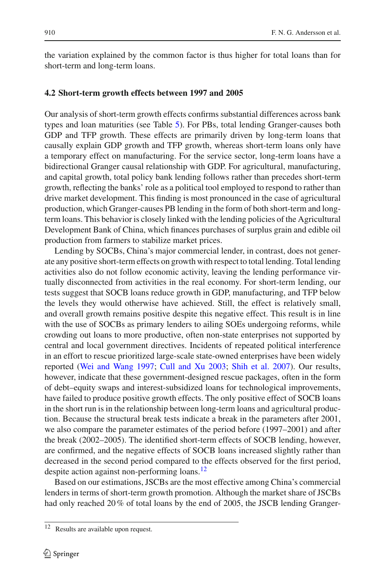the variation explained by the common factor is thus higher for total loans than for short-term and long-term loans.

#### **4.2 Short-term growth effects between 1997 and 2005**

Our analysis of short-term growth effects confirms substantial differences across bank types and loan maturities (see Table [5\)](#page-14-0). For PBs, total lending Granger-causes both GDP and TFP growth. These effects are primarily driven by long-term loans that causally explain GDP growth and TFP growth, whereas short-term loans only have a temporary effect on manufacturing. For the service sector, long-term loans have a bidirectional Granger causal relationship with GDP. For agricultural, manufacturing, and capital growth, total policy bank lending follows rather than precedes short-term growth, reflecting the banks' role as a political tool employed to respond to rather than drive market development. This finding is most pronounced in the case of agricultural production, which Granger-causes PB lending in the form of both short-term and longterm loans. This behavior is closely linked with the lending policies of the Agricultural Development Bank of China, which finances purchases of surplus grain and edible oil production from farmers to stabilize market prices.

Lending by SOCBs, China's major commercial lender, in contrast, does not generate any positive short-term effects on growth with respect to total lending. Total lending activities also do not follow economic activity, leaving the lending performance virtually disconnected from activities in the real economy. For short-term lending, our tests suggest that SOCB loans reduce growth in GDP, manufacturing, and TFP below the levels they would otherwise have achieved. Still, the effect is relatively small, and overall growth remains positive despite this negative effect. This result is in line with the use of SOCBs as primary lenders to ailing SOEs undergoing reforms, while crowding out loans to more productive, often non-state enterprises not supported by central and local government directives. Incidents of repeated political interference in an effort to rescue prioritized large-scale state-owned enterprises have been widely reported [\(Wei and Wang 1997;](#page-23-16) [Cull and Xu 2003](#page-22-14); [Shih et al. 2007\)](#page-23-17). Our results, however, indicate that these government-designed rescue packages, often in the form of debt–equity swaps and interest-subsidized loans for technological improvements, have failed to produce positive growth effects. The only positive effect of SOCB loans in the short run is in the relationship between long-term loans and agricultural production. Because the structural break tests indicate a break in the parameters after 2001, we also compare the parameter estimates of the period before (1997–2001) and after the break (2002–2005). The identified short-term effects of SOCB lending, however, are confirmed, and the negative effects of SOCB loans increased slightly rather than decreased in the second period compared to the effects observed for the first period, despite action against non-performing loans.<sup>12</sup>

Based on our estimations, JSCBs are the most effective among China's commercial lenders in terms of short-term growth promotion. Although the market share of JSCBs had only reached 20% of total loans by the end of 2005, the JSCB lending Granger-

<span id="page-13-0"></span>Results are available upon request.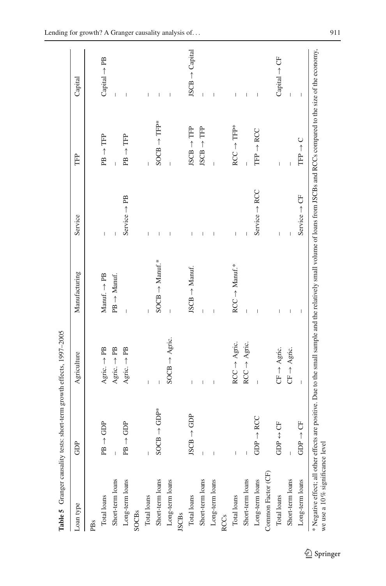<span id="page-14-0"></span>

| Table 5 Granger causality tests:                                        |                                                 | short-term growth effects, 1997-2005                                                                                                                                                                                                                                                                                                                                             |                                                                                                                                         |                                                                                                                                                                                                                                                                                                                                                                                  |                         |                                                                                                                                                                                                                                                                                                                                                                                                                |
|-------------------------------------------------------------------------|-------------------------------------------------|----------------------------------------------------------------------------------------------------------------------------------------------------------------------------------------------------------------------------------------------------------------------------------------------------------------------------------------------------------------------------------|-----------------------------------------------------------------------------------------------------------------------------------------|----------------------------------------------------------------------------------------------------------------------------------------------------------------------------------------------------------------------------------------------------------------------------------------------------------------------------------------------------------------------------------|-------------------------|----------------------------------------------------------------------------------------------------------------------------------------------------------------------------------------------------------------------------------------------------------------------------------------------------------------------------------------------------------------------------------------------------------------|
| Loan type                                                               | GDP                                             | Agriculture                                                                                                                                                                                                                                                                                                                                                                      | Manufacturing                                                                                                                           | Service                                                                                                                                                                                                                                                                                                                                                                          | Ë                       | Capital                                                                                                                                                                                                                                                                                                                                                                                                        |
| PBs                                                                     |                                                 |                                                                                                                                                                                                                                                                                                                                                                                  |                                                                                                                                         |                                                                                                                                                                                                                                                                                                                                                                                  |                         |                                                                                                                                                                                                                                                                                                                                                                                                                |
| Total loans                                                             | GDP<br>$PB \rightarrow$                         | Agric. $\rightarrow$ PB                                                                                                                                                                                                                                                                                                                                                          | Manuf. $\rightarrow$ PB                                                                                                                 | $\begin{array}{c} \rule{0pt}{2.5ex} \rule{0pt}{2.5ex} \rule{0pt}{2.5ex} \rule{0pt}{2.5ex} \rule{0pt}{2.5ex} \rule{0pt}{2.5ex} \rule{0pt}{2.5ex} \rule{0pt}{2.5ex} \rule{0pt}{2.5ex} \rule{0pt}{2.5ex} \rule{0pt}{2.5ex} \rule{0pt}{2.5ex} \rule{0pt}{2.5ex} \rule{0pt}{2.5ex} \rule{0pt}{2.5ex} \rule{0pt}{2.5ex} \rule{0pt}{2.5ex} \rule{0pt}{2.5ex} \rule{0pt}{2.5ex} \rule{0$ | $PB \rightarrow TFP$    | $Capital \rightarrow PB$                                                                                                                                                                                                                                                                                                                                                                                       |
| Short-term loans                                                        |                                                 | Agric. $\rightarrow$ PB                                                                                                                                                                                                                                                                                                                                                          | $PB \rightarrow Mant.$                                                                                                                  |                                                                                                                                                                                                                                                                                                                                                                                  |                         |                                                                                                                                                                                                                                                                                                                                                                                                                |
| Long-term loans                                                         | GDP<br>$PB \rightarrow$                         | Agric. $\rightarrow$ PB                                                                                                                                                                                                                                                                                                                                                          |                                                                                                                                         | Service $\rightarrow$ PB                                                                                                                                                                                                                                                                                                                                                         | $PB \rightarrow TFP$    | Ī                                                                                                                                                                                                                                                                                                                                                                                                              |
| <b>SOCBs</b>                                                            |                                                 |                                                                                                                                                                                                                                                                                                                                                                                  |                                                                                                                                         |                                                                                                                                                                                                                                                                                                                                                                                  |                         |                                                                                                                                                                                                                                                                                                                                                                                                                |
| Total loans                                                             |                                                 | $\begin{array}{c} \rule{0pt}{2.5ex} \rule{0pt}{2.5ex} \rule{0pt}{2.5ex} \rule{0pt}{2.5ex} \rule{0pt}{2.5ex} \rule{0pt}{2.5ex} \rule{0pt}{2.5ex} \rule{0pt}{2.5ex} \rule{0pt}{2.5ex} \rule{0pt}{2.5ex} \rule{0pt}{2.5ex} \rule{0pt}{2.5ex} \rule{0pt}{2.5ex} \rule{0pt}{2.5ex} \rule{0pt}{2.5ex} \rule{0pt}{2.5ex} \rule{0pt}{2.5ex} \rule{0pt}{2.5ex} \rule{0pt}{2.5ex} \rule{0$ |                                                                                                                                         | Ī                                                                                                                                                                                                                                                                                                                                                                                |                         | I                                                                                                                                                                                                                                                                                                                                                                                                              |
| Short-term loans                                                        | $\overset{*}{\rightarrow} \text{GDD}^*$<br>SOCB | $\overline{\phantom{a}}$                                                                                                                                                                                                                                                                                                                                                         | $SOCB \rightarrow Mant^*$                                                                                                               | I                                                                                                                                                                                                                                                                                                                                                                                | $SOCB \rightarrow TFP*$ | I                                                                                                                                                                                                                                                                                                                                                                                                              |
| Long-term loans                                                         |                                                 | $SOCB \rightarrow Agric.$                                                                                                                                                                                                                                                                                                                                                        | $\overline{1}$                                                                                                                          |                                                                                                                                                                                                                                                                                                                                                                                  |                         | Ï                                                                                                                                                                                                                                                                                                                                                                                                              |
| <b>JSCBs</b>                                                            |                                                 |                                                                                                                                                                                                                                                                                                                                                                                  |                                                                                                                                         |                                                                                                                                                                                                                                                                                                                                                                                  |                         |                                                                                                                                                                                                                                                                                                                                                                                                                |
| Total loans                                                             | <b>GDP</b><br><b>JSCB</b>                       | Ï                                                                                                                                                                                                                                                                                                                                                                                | $JSCB \rightarrow Manut.$                                                                                                               | I                                                                                                                                                                                                                                                                                                                                                                                | $JSCB \rightarrow TFP$  | $JSCB \rightarrow Capital$                                                                                                                                                                                                                                                                                                                                                                                     |
| Short-term loans                                                        |                                                 | I                                                                                                                                                                                                                                                                                                                                                                                | I                                                                                                                                       | Ī                                                                                                                                                                                                                                                                                                                                                                                | $JSCB \rightarrow TFP$  | I                                                                                                                                                                                                                                                                                                                                                                                                              |
| Long-term loans                                                         |                                                 | $\overline{1}$                                                                                                                                                                                                                                                                                                                                                                   | $\overline{\phantom{a}}$                                                                                                                | Ï                                                                                                                                                                                                                                                                                                                                                                                |                         |                                                                                                                                                                                                                                                                                                                                                                                                                |
| RCCs                                                                    |                                                 |                                                                                                                                                                                                                                                                                                                                                                                  |                                                                                                                                         |                                                                                                                                                                                                                                                                                                                                                                                  |                         |                                                                                                                                                                                                                                                                                                                                                                                                                |
| Total loans                                                             |                                                 | $RCC \rightarrow Agric.$                                                                                                                                                                                                                                                                                                                                                         | $RCC \rightarrow Mant.*$                                                                                                                | I                                                                                                                                                                                                                                                                                                                                                                                | $RCC \rightarrow TFP*$  |                                                                                                                                                                                                                                                                                                                                                                                                                |
| Short-term loans                                                        |                                                 | $RCC \rightarrow Agric.$                                                                                                                                                                                                                                                                                                                                                         | $\overline{1}$                                                                                                                          |                                                                                                                                                                                                                                                                                                                                                                                  |                         | I                                                                                                                                                                                                                                                                                                                                                                                                              |
| Long-term loans                                                         | $GDP \rightarrow RCC$                           |                                                                                                                                                                                                                                                                                                                                                                                  |                                                                                                                                         | $Service \rightarrow RCC$                                                                                                                                                                                                                                                                                                                                                        | $TFP \rightarrow RCC$   | $\begin{array}{c} \rule{0pt}{2ex} \rule{0pt}{2ex} \rule{0pt}{2ex} \rule{0pt}{2ex} \rule{0pt}{2ex} \rule{0pt}{2ex} \rule{0pt}{2ex} \rule{0pt}{2ex} \rule{0pt}{2ex} \rule{0pt}{2ex} \rule{0pt}{2ex} \rule{0pt}{2ex} \rule{0pt}{2ex} \rule{0pt}{2ex} \rule{0pt}{2ex} \rule{0pt}{2ex} \rule{0pt}{2ex} \rule{0pt}{2ex} \rule{0pt}{2ex} \rule{0pt}{2ex} \rule{0pt}{2ex} \rule{0pt}{2ex} \rule{0pt}{2ex} \rule{0pt}{$ |
| Common Factor (CF)                                                      |                                                 |                                                                                                                                                                                                                                                                                                                                                                                  |                                                                                                                                         |                                                                                                                                                                                                                                                                                                                                                                                  |                         |                                                                                                                                                                                                                                                                                                                                                                                                                |
| Total loans                                                             | $GDP \leftrightarrow CF$                        | $CF \rightarrow Agric.$                                                                                                                                                                                                                                                                                                                                                          | I                                                                                                                                       | Ï                                                                                                                                                                                                                                                                                                                                                                                | I                       | $C$ apital $\rightarrow$ CF                                                                                                                                                                                                                                                                                                                                                                                    |
| Short-term loans                                                        |                                                 | $CF \rightarrow Agric.$                                                                                                                                                                                                                                                                                                                                                          | $\begin{array}{c} \hline \end{array}$                                                                                                   |                                                                                                                                                                                                                                                                                                                                                                                  | $\overline{1}$          | $\overline{1}$                                                                                                                                                                                                                                                                                                                                                                                                 |
| Long-term loans                                                         | GDP + GB                                        | $\overline{1}$                                                                                                                                                                                                                                                                                                                                                                   | $\begin{array}{c} \hline \end{array}$                                                                                                   | Service $\rightarrow$ CF                                                                                                                                                                                                                                                                                                                                                         | TFP → C                 | $\begin{array}{c} \end{array}$                                                                                                                                                                                                                                                                                                                                                                                 |
| * Negative effect; all other effects<br>we use a 10% significance level |                                                 |                                                                                                                                                                                                                                                                                                                                                                                  | are positive. Due to the small sample and the relatively small volume of loans from JSCBs and RCCs compared to the size of the economy, |                                                                                                                                                                                                                                                                                                                                                                                  |                         |                                                                                                                                                                                                                                                                                                                                                                                                                |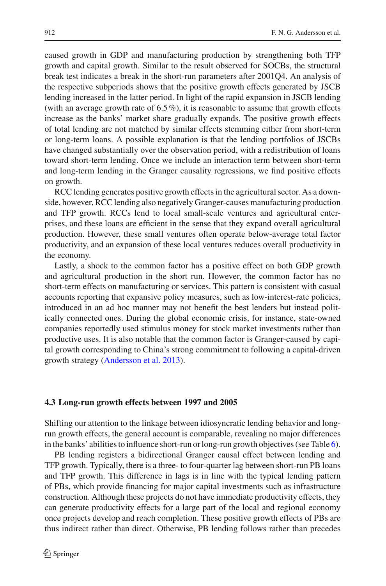caused growth in GDP and manufacturing production by strengthening both TFP growth and capital growth. Similar to the result observed for SOCBs, the structural break test indicates a break in the short-run parameters after 2001Q4. An analysis of the respective subperiods shows that the positive growth effects generated by JSCB lending increased in the latter period. In light of the rapid expansion in JSCB lending (with an average growth rate of  $6.5\%$ ), it is reasonable to assume that growth effects increase as the banks' market share gradually expands. The positive growth effects of total lending are not matched by similar effects stemming either from short-term or long-term loans. A possible explanation is that the lending portfolios of JSCBs have changed substantially over the observation period, with a redistribution of loans toward short-term lending. Once we include an interaction term between short-term and long-term lending in the Granger causality regressions, we find positive effects on growth.

RCC lending generates positive growth effects in the agricultural sector. As a downside, however, RCC lending also negatively Granger-causes manufacturing production and TFP growth. RCCs lend to local small-scale ventures and agricultural enterprises, and these loans are efficient in the sense that they expand overall agricultural production. However, these small ventures often operate below-average total factor productivity, and an expansion of these local ventures reduces overall productivity in the economy.

Lastly, a shock to the common factor has a positive effect on both GDP growth and agricultural production in the short run. However, the common factor has no short-term effects on manufacturing or services. This pattern is consistent with casual accounts reporting that expansive policy measures, such as low-interest-rate policies, introduced in an ad hoc manner may not benefit the best lenders but instead politically connected ones. During the global economic crisis, for instance, state-owned companies reportedly used stimulus money for stock market investments rather than productive uses. It is also notable that the common factor is Granger-caused by capital growth corresponding to China's strong commitment to following a capital-driven growth strategy [\(Andersson et al. 2013](#page-21-16)).

#### **4.3 Long-run growth effects between 1997 and 2005**

Shifting our attention to the linkage between idiosyncratic lending behavior and longrun growth effects, the general account is comparable, revealing no major differences in the banks' abilities to influence short-run or long-run growth objectives (see Table [6\)](#page-16-0).

PB lending registers a bidirectional Granger causal effect between lending and TFP growth. Typically, there is a three- to four-quarter lag between short-run PB loans and TFP growth. This difference in lags is in line with the typical lending pattern of PBs, which provide financing for major capital investments such as infrastructure construction. Although these projects do not have immediate productivity effects, they can generate productivity effects for a large part of the local and regional economy once projects develop and reach completion. These positive growth effects of PBs are thus indirect rather than direct. Otherwise, PB lending follows rather than precedes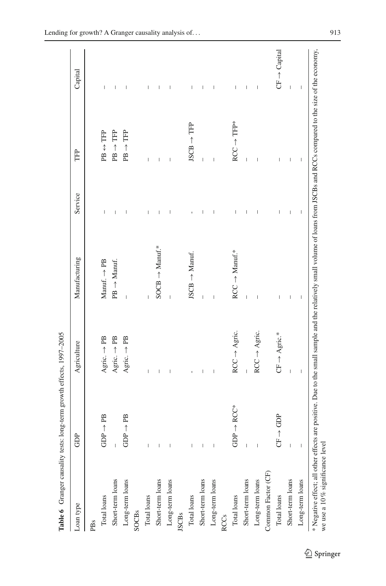<span id="page-16-0"></span>

| Table 6 Granger causality tests: long-term growth effects, 1997-2005 |                                                                                                                                                                                                                                                                                                                                                                                                                |                                       |                                                                                                                                                                                                                                                                                                                                                                                  |                                                                                                                                                                                                                                                                                                                                                                                  |                                                                                                                                                                                                                                                                                                                                                                                  |                                                                                                                                                                                                                                                                                                                                                                                  |
|----------------------------------------------------------------------|----------------------------------------------------------------------------------------------------------------------------------------------------------------------------------------------------------------------------------------------------------------------------------------------------------------------------------------------------------------------------------------------------------------|---------------------------------------|----------------------------------------------------------------------------------------------------------------------------------------------------------------------------------------------------------------------------------------------------------------------------------------------------------------------------------------------------------------------------------|----------------------------------------------------------------------------------------------------------------------------------------------------------------------------------------------------------------------------------------------------------------------------------------------------------------------------------------------------------------------------------|----------------------------------------------------------------------------------------------------------------------------------------------------------------------------------------------------------------------------------------------------------------------------------------------------------------------------------------------------------------------------------|----------------------------------------------------------------------------------------------------------------------------------------------------------------------------------------------------------------------------------------------------------------------------------------------------------------------------------------------------------------------------------|
| Loan type                                                            | GDP                                                                                                                                                                                                                                                                                                                                                                                                            | Agriculture                           | Manufacturing                                                                                                                                                                                                                                                                                                                                                                    | Service                                                                                                                                                                                                                                                                                                                                                                          | È                                                                                                                                                                                                                                                                                                                                                                                | Capital                                                                                                                                                                                                                                                                                                                                                                          |
| PBs                                                                  |                                                                                                                                                                                                                                                                                                                                                                                                                |                                       |                                                                                                                                                                                                                                                                                                                                                                                  |                                                                                                                                                                                                                                                                                                                                                                                  |                                                                                                                                                                                                                                                                                                                                                                                  |                                                                                                                                                                                                                                                                                                                                                                                  |
| Total loans                                                          | $GDP \rightarrow PB$                                                                                                                                                                                                                                                                                                                                                                                           | Agric. $\rightarrow$ PB               | Manuf. → PB                                                                                                                                                                                                                                                                                                                                                                      |                                                                                                                                                                                                                                                                                                                                                                                  | $PB \leftrightarrow TFP$                                                                                                                                                                                                                                                                                                                                                         | I                                                                                                                                                                                                                                                                                                                                                                                |
| Short-term loans                                                     | $\overline{1}$                                                                                                                                                                                                                                                                                                                                                                                                 | Agric. $\rightarrow$ PB               | $PB \rightarrow Mant.$                                                                                                                                                                                                                                                                                                                                                           |                                                                                                                                                                                                                                                                                                                                                                                  | È<br>$PB \rightarrow$                                                                                                                                                                                                                                                                                                                                                            | I                                                                                                                                                                                                                                                                                                                                                                                |
| Long-term loans                                                      | $GDP \rightarrow PB$                                                                                                                                                                                                                                                                                                                                                                                           | Agric. $\rightarrow$ PB               | Ï                                                                                                                                                                                                                                                                                                                                                                                |                                                                                                                                                                                                                                                                                                                                                                                  | TFP<br>$PB \rightarrow$                                                                                                                                                                                                                                                                                                                                                          | I                                                                                                                                                                                                                                                                                                                                                                                |
| <b>SOCBs</b>                                                         |                                                                                                                                                                                                                                                                                                                                                                                                                |                                       |                                                                                                                                                                                                                                                                                                                                                                                  |                                                                                                                                                                                                                                                                                                                                                                                  |                                                                                                                                                                                                                                                                                                                                                                                  |                                                                                                                                                                                                                                                                                                                                                                                  |
| Total loans                                                          | $\overline{1}$                                                                                                                                                                                                                                                                                                                                                                                                 | $\begin{array}{c} \hline \end{array}$ | $\overline{1}$                                                                                                                                                                                                                                                                                                                                                                   | I                                                                                                                                                                                                                                                                                                                                                                                | I                                                                                                                                                                                                                                                                                                                                                                                | I                                                                                                                                                                                                                                                                                                                                                                                |
| Short-term loans                                                     | $\mathsf I$                                                                                                                                                                                                                                                                                                                                                                                                    | I                                     | $SOCB \rightarrow Mant^*$                                                                                                                                                                                                                                                                                                                                                        |                                                                                                                                                                                                                                                                                                                                                                                  | I                                                                                                                                                                                                                                                                                                                                                                                | I                                                                                                                                                                                                                                                                                                                                                                                |
| Long-term loans                                                      | $\begin{array}{c} \rule{0pt}{2.5ex} \rule{0pt}{2.5ex} \rule{0pt}{2.5ex} \rule{0pt}{2.5ex} \rule{0pt}{2.5ex} \rule{0pt}{2.5ex} \rule{0pt}{2.5ex} \rule{0pt}{2.5ex} \rule{0pt}{2.5ex} \rule{0pt}{2.5ex} \rule{0pt}{2.5ex} \rule{0pt}{2.5ex} \rule{0pt}{2.5ex} \rule{0pt}{2.5ex} \rule{0pt}{2.5ex} \rule{0pt}{2.5ex} \rule{0pt}{2.5ex} \rule{0pt}{2.5ex} \rule{0pt}{2.5ex} \rule{0$                               |                                       | Ï                                                                                                                                                                                                                                                                                                                                                                                |                                                                                                                                                                                                                                                                                                                                                                                  | I                                                                                                                                                                                                                                                                                                                                                                                | I                                                                                                                                                                                                                                                                                                                                                                                |
| <b>JSCBs</b>                                                         |                                                                                                                                                                                                                                                                                                                                                                                                                |                                       |                                                                                                                                                                                                                                                                                                                                                                                  |                                                                                                                                                                                                                                                                                                                                                                                  |                                                                                                                                                                                                                                                                                                                                                                                  |                                                                                                                                                                                                                                                                                                                                                                                  |
| Total loans                                                          | $\begin{array}{c} \rule{0pt}{2ex} \rule{0pt}{2ex} \rule{0pt}{2ex} \rule{0pt}{2ex} \rule{0pt}{2ex} \rule{0pt}{2ex} \rule{0pt}{2ex} \rule{0pt}{2ex} \rule{0pt}{2ex} \rule{0pt}{2ex} \rule{0pt}{2ex} \rule{0pt}{2ex} \rule{0pt}{2ex} \rule{0pt}{2ex} \rule{0pt}{2ex} \rule{0pt}{2ex} \rule{0pt}{2ex} \rule{0pt}{2ex} \rule{0pt}{2ex} \rule{0pt}{2ex} \rule{0pt}{2ex} \rule{0pt}{2ex} \rule{0pt}{2ex} \rule{0pt}{$ |                                       | $JSCB \rightarrow Manut.$                                                                                                                                                                                                                                                                                                                                                        |                                                                                                                                                                                                                                                                                                                                                                                  | $JSCB \rightarrow TFP$                                                                                                                                                                                                                                                                                                                                                           | I                                                                                                                                                                                                                                                                                                                                                                                |
| Short-term loans                                                     | $\mathsf I$                                                                                                                                                                                                                                                                                                                                                                                                    | I                                     | Ī                                                                                                                                                                                                                                                                                                                                                                                |                                                                                                                                                                                                                                                                                                                                                                                  | $\overline{\phantom{a}}$                                                                                                                                                                                                                                                                                                                                                         | I                                                                                                                                                                                                                                                                                                                                                                                |
| Long-term loans                                                      | $\overline{1}$                                                                                                                                                                                                                                                                                                                                                                                                 | $\begin{array}{c} \end{array}$        | I                                                                                                                                                                                                                                                                                                                                                                                |                                                                                                                                                                                                                                                                                                                                                                                  | I                                                                                                                                                                                                                                                                                                                                                                                | I                                                                                                                                                                                                                                                                                                                                                                                |
| <b>RCCs</b>                                                          |                                                                                                                                                                                                                                                                                                                                                                                                                |                                       |                                                                                                                                                                                                                                                                                                                                                                                  |                                                                                                                                                                                                                                                                                                                                                                                  |                                                                                                                                                                                                                                                                                                                                                                                  |                                                                                                                                                                                                                                                                                                                                                                                  |
| Total loans                                                          | $GDP \rightarrow RCC^*$                                                                                                                                                                                                                                                                                                                                                                                        | $RCC \rightarrow Agric.$              | $RCC \rightarrow Mant.*$                                                                                                                                                                                                                                                                                                                                                         |                                                                                                                                                                                                                                                                                                                                                                                  | $RCC \rightarrow TFP*$                                                                                                                                                                                                                                                                                                                                                           | I                                                                                                                                                                                                                                                                                                                                                                                |
| Short-term loans                                                     | $\overline{1}$                                                                                                                                                                                                                                                                                                                                                                                                 | $\overline{1}$                        | I                                                                                                                                                                                                                                                                                                                                                                                |                                                                                                                                                                                                                                                                                                                                                                                  | I                                                                                                                                                                                                                                                                                                                                                                                | I                                                                                                                                                                                                                                                                                                                                                                                |
| Long-term loans                                                      | $\overline{1}$                                                                                                                                                                                                                                                                                                                                                                                                 | $RCC \rightarrow Agric.$              |                                                                                                                                                                                                                                                                                                                                                                                  |                                                                                                                                                                                                                                                                                                                                                                                  |                                                                                                                                                                                                                                                                                                                                                                                  | $\overline{\phantom{a}}$                                                                                                                                                                                                                                                                                                                                                         |
| Common Factor (CF)                                                   |                                                                                                                                                                                                                                                                                                                                                                                                                |                                       |                                                                                                                                                                                                                                                                                                                                                                                  |                                                                                                                                                                                                                                                                                                                                                                                  |                                                                                                                                                                                                                                                                                                                                                                                  |                                                                                                                                                                                                                                                                                                                                                                                  |
| Total loans                                                          | CH + +                                                                                                                                                                                                                                                                                                                                                                                                         | $CF \rightarrow$ Agric.*              | Ï                                                                                                                                                                                                                                                                                                                                                                                | Ï                                                                                                                                                                                                                                                                                                                                                                                | Ï                                                                                                                                                                                                                                                                                                                                                                                | $CF \rightarrow C$ apital                                                                                                                                                                                                                                                                                                                                                        |
| Short-term loans                                                     | $\overline{1}$                                                                                                                                                                                                                                                                                                                                                                                                 | $\begin{array}{c} \hline \end{array}$ | $\begin{array}{c} \rule{0pt}{2.5ex} \rule{0pt}{2.5ex} \rule{0pt}{2.5ex} \rule{0pt}{2.5ex} \rule{0pt}{2.5ex} \rule{0pt}{2.5ex} \rule{0pt}{2.5ex} \rule{0pt}{2.5ex} \rule{0pt}{2.5ex} \rule{0pt}{2.5ex} \rule{0pt}{2.5ex} \rule{0pt}{2.5ex} \rule{0pt}{2.5ex} \rule{0pt}{2.5ex} \rule{0pt}{2.5ex} \rule{0pt}{2.5ex} \rule{0pt}{2.5ex} \rule{0pt}{2.5ex} \rule{0pt}{2.5ex} \rule{0$ | $\begin{array}{c} \rule{0pt}{2.5ex} \rule{0pt}{2.5ex} \rule{0pt}{2.5ex} \rule{0pt}{2.5ex} \rule{0pt}{2.5ex} \rule{0pt}{2.5ex} \rule{0pt}{2.5ex} \rule{0pt}{2.5ex} \rule{0pt}{2.5ex} \rule{0pt}{2.5ex} \rule{0pt}{2.5ex} \rule{0pt}{2.5ex} \rule{0pt}{2.5ex} \rule{0pt}{2.5ex} \rule{0pt}{2.5ex} \rule{0pt}{2.5ex} \rule{0pt}{2.5ex} \rule{0pt}{2.5ex} \rule{0pt}{2.5ex} \rule{0$ | $\begin{array}{c} \rule{0pt}{2.5ex} \rule{0pt}{2.5ex} \rule{0pt}{2.5ex} \rule{0pt}{2.5ex} \rule{0pt}{2.5ex} \rule{0pt}{2.5ex} \rule{0pt}{2.5ex} \rule{0pt}{2.5ex} \rule{0pt}{2.5ex} \rule{0pt}{2.5ex} \rule{0pt}{2.5ex} \rule{0pt}{2.5ex} \rule{0pt}{2.5ex} \rule{0pt}{2.5ex} \rule{0pt}{2.5ex} \rule{0pt}{2.5ex} \rule{0pt}{2.5ex} \rule{0pt}{2.5ex} \rule{0pt}{2.5ex} \rule{0$ | $\begin{array}{c} \rule{0pt}{2.5ex} \rule{0pt}{2.5ex} \rule{0pt}{2.5ex} \rule{0pt}{2.5ex} \rule{0pt}{2.5ex} \rule{0pt}{2.5ex} \rule{0pt}{2.5ex} \rule{0pt}{2.5ex} \rule{0pt}{2.5ex} \rule{0pt}{2.5ex} \rule{0pt}{2.5ex} \rule{0pt}{2.5ex} \rule{0pt}{2.5ex} \rule{0pt}{2.5ex} \rule{0pt}{2.5ex} \rule{0pt}{2.5ex} \rule{0pt}{2.5ex} \rule{0pt}{2.5ex} \rule{0pt}{2.5ex} \rule{0$ |
| Long-term loans                                                      | $\overline{1}$                                                                                                                                                                                                                                                                                                                                                                                                 | $\mathsf I$                           | $\,$ $\,$                                                                                                                                                                                                                                                                                                                                                                        | $\begin{array}{c} \rule{0pt}{2.5ex} \rule{0pt}{2.5ex} \rule{0pt}{2.5ex} \rule{0pt}{2.5ex} \rule{0pt}{2.5ex} \rule{0pt}{2.5ex} \rule{0pt}{2.5ex} \rule{0pt}{2.5ex} \rule{0pt}{2.5ex} \rule{0pt}{2.5ex} \rule{0pt}{2.5ex} \rule{0pt}{2.5ex} \rule{0pt}{2.5ex} \rule{0pt}{2.5ex} \rule{0pt}{2.5ex} \rule{0pt}{2.5ex} \rule{0pt}{2.5ex} \rule{0pt}{2.5ex} \rule{0pt}{2.5ex} \rule{0$ | $\begin{array}{c} \rule{0pt}{2.5ex} \rule{0pt}{2.5ex} \rule{0pt}{2.5ex} \rule{0pt}{2.5ex} \rule{0pt}{2.5ex} \rule{0pt}{2.5ex} \rule{0pt}{2.5ex} \rule{0pt}{2.5ex} \rule{0pt}{2.5ex} \rule{0pt}{2.5ex} \rule{0pt}{2.5ex} \rule{0pt}{2.5ex} \rule{0pt}{2.5ex} \rule{0pt}{2.5ex} \rule{0pt}{2.5ex} \rule{0pt}{2.5ex} \rule{0pt}{2.5ex} \rule{0pt}{2.5ex} \rule{0pt}{2.5ex} \rule{0$ | $\begin{array}{c} \rule{0pt}{2.5ex} \rule{0pt}{2.5ex} \rule{0pt}{2.5ex} \rule{0pt}{2.5ex} \rule{0pt}{2.5ex} \rule{0pt}{2.5ex} \rule{0pt}{2.5ex} \rule{0pt}{2.5ex} \rule{0pt}{2.5ex} \rule{0pt}{2.5ex} \rule{0pt}{2.5ex} \rule{0pt}{2.5ex} \rule{0pt}{2.5ex} \rule{0pt}{2.5ex} \rule{0pt}{2.5ex} \rule{0pt}{2.5ex} \rule{0pt}{2.5ex} \rule{0pt}{2.5ex} \rule{0pt}{2.5ex} \rule{0$ |
| we use a 10% significance level                                      |                                                                                                                                                                                                                                                                                                                                                                                                                |                                       | * Negative effect; all other effects are positive. Due to the small sample and the relatively small volume of loans from JSCBs and RCCs compared to the size of the economy,                                                                                                                                                                                                     |                                                                                                                                                                                                                                                                                                                                                                                  |                                                                                                                                                                                                                                                                                                                                                                                  |                                                                                                                                                                                                                                                                                                                                                                                  |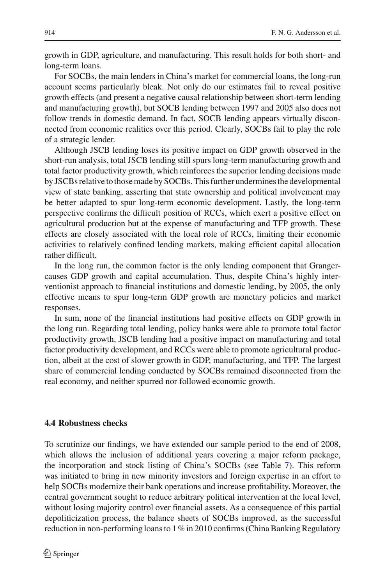growth in GDP, agriculture, and manufacturing. This result holds for both short- and long-term loans.

For SOCBs, the main lenders in China's market for commercial loans, the long-run account seems particularly bleak. Not only do our estimates fail to reveal positive growth effects (and present a negative causal relationship between short-term lending and manufacturing growth), but SOCB lending between 1997 and 2005 also does not follow trends in domestic demand. In fact, SOCB lending appears virtually disconnected from economic realities over this period. Clearly, SOCBs fail to play the role of a strategic lender.

Although JSCB lending loses its positive impact on GDP growth observed in the short-run analysis, total JSCB lending still spurs long-term manufacturing growth and total factor productivity growth, which reinforces the superior lending decisions made by JSCBs relative to those made by SOCBs. This further undermines the developmental view of state banking, asserting that state ownership and political involvement may be better adapted to spur long-term economic development. Lastly, the long-term perspective confirms the difficult position of RCCs, which exert a positive effect on agricultural production but at the expense of manufacturing and TFP growth. These effects are closely associated with the local role of RCCs, limiting their economic activities to relatively confined lending markets, making efficient capital allocation rather difficult.

In the long run, the common factor is the only lending component that Grangercauses GDP growth and capital accumulation. Thus, despite China's highly interventionist approach to financial institutions and domestic lending, by 2005, the only effective means to spur long-term GDP growth are monetary policies and market responses.

In sum, none of the financial institutions had positive effects on GDP growth in the long run. Regarding total lending, policy banks were able to promote total factor productivity growth, JSCB lending had a positive impact on manufacturing and total factor productivity development, and RCCs were able to promote agricultural production, albeit at the cost of slower growth in GDP, manufacturing, and TFP. The largest share of commercial lending conducted by SOCBs remained disconnected from the real economy, and neither spurred nor followed economic growth.

#### **4.4 Robustness checks**

To scrutinize our findings, we have extended our sample period to the end of 2008, which allows the inclusion of additional years covering a major reform package, the incorporation and stock listing of China's SOCBs (see Table [7\)](#page-18-0). This reform was initiated to bring in new minority investors and foreign expertise in an effort to help SOCBs modernize their bank operations and increase profitability. Moreover, the central government sought to reduce arbitrary political intervention at the local level, without losing majority control over financial assets. As a consequence of this partial depoliticization process, the balance sheets of SOCBs improved, as the successful reduction in non-performing loans to  $1\%$  in 2010 confirms (China Banking Regulatory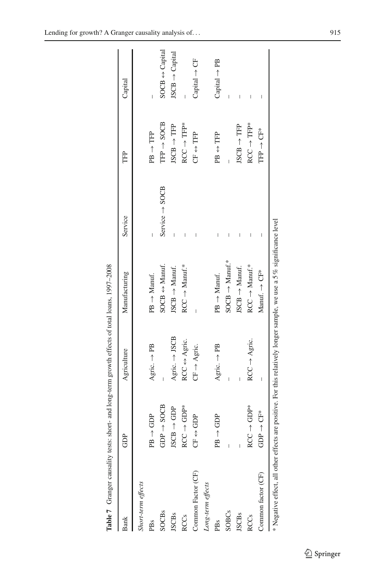| Table 7 Granger causality tests: short- and long-term growth effects of total loans, 1997-2008 |                        |                              |                                                                                                                      |                            |                          |                                |
|------------------------------------------------------------------------------------------------|------------------------|------------------------------|----------------------------------------------------------------------------------------------------------------------|----------------------------|--------------------------|--------------------------------|
| Bank                                                                                           | È<br>$\vec{\sigma}$    | Agriculture                  | Manufacturing                                                                                                        | Service                    | TFP                      | Capital                        |
| Short-term effects                                                                             |                        |                              |                                                                                                                      |                            |                          |                                |
| PBs                                                                                            | $PB \rightarrow GDP$   | Agric. $\rightarrow$ PB      | $PB \rightarrow Mant.$                                                                                               | I                          | $PB \rightarrow TFP$     | I                              |
| <b>SOCBs</b>                                                                                   | $GDP \rightarrow SOCB$ |                              | $SOCB \leftrightarrow Mant.$                                                                                         | $Service \rightarrow SOCB$ | $TFP \rightarrow SOCB$   | SOCB $\leftrightarrow$ Capital |
| <b>JSCBs</b>                                                                                   | $JSCB \rightarrow GDP$ | Agric. $\rightarrow$ JSCB    | $JSCB \rightarrow Mannf$ .                                                                                           | Ī                          | $JSCB \rightarrow TFP$   | $ISCB \rightarrow Capital$     |
| <b>RCCs</b>                                                                                    | $\sum_{i=1}^{n}$<br>₫  | RCC $\leftrightarrow$ Agric. | $RCC \rightarrow Mant.*$                                                                                             | I                          | $RCC \rightarrow TFP*$   |                                |
| Common Factor (CF)                                                                             | <b>CF ↔ GDP</b>        | $CF \rightarrow Agric.$      |                                                                                                                      |                            | CF ↔ TFP                 | Capital $\rightarrow$ CF       |
| Long-term effects                                                                              |                        |                              |                                                                                                                      |                            |                          |                                |
| PBs                                                                                            | $PB \rightarrow GDP$   | Agric. $\rightarrow$ PB      | $PB \rightarrow Mant.$                                                                                               | I                          | $PB \leftrightarrow TFP$ | Capital $\rightarrow$ PB       |
| <b>SOBCs</b>                                                                                   | $\overline{1}$         |                              | $SOCB \rightarrow Mant.*$                                                                                            |                            |                          |                                |
| <b>JSCBs</b>                                                                                   | I                      |                              | $JSCB \rightarrow Mannf$ .                                                                                           |                            | $JSCB \rightarrow TFP$   |                                |
| RCCs                                                                                           | <br>₫                  | $RCC \rightarrow Agric.$     | $RCC \rightarrow Mant.*$                                                                                             | I                          | $RCC \rightarrow TFP*$   |                                |
| Common factor (CF)                                                                             | $GDP \rightarrow CP^*$ | I                            | Manuf. $\rightarrow$ CF*                                                                                             | I                          | 在)← dHI                  | Ï                              |
|                                                                                                |                        |                              | * Negative effect, all other effects are positive. For this relatively longer sample, we use a 5% significance level |                            |                          |                                |

<span id="page-18-0"></span>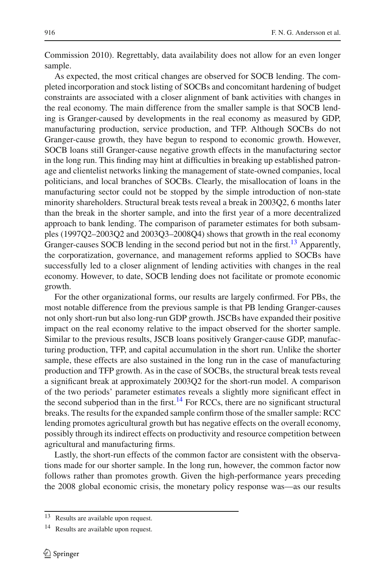Commission 2010). Regrettably, data availability does not allow for an even longer sample.

As expected, the most critical changes are observed for SOCB lending. The completed incorporation and stock listing of SOCBs and concomitant hardening of budget constraints are associated with a closer alignment of bank activities with changes in the real economy. The main difference from the smaller sample is that SOCB lending is Granger-caused by developments in the real economy as measured by GDP, manufacturing production, service production, and TFP. Although SOCBs do not Granger-cause growth, they have begun to respond to economic growth. However, SOCB loans still Granger-cause negative growth effects in the manufacturing sector in the long run. This finding may hint at difficulties in breaking up established patronage and clientelist networks linking the management of state-owned companies, local politicians, and local branches of SOCBs. Clearly, the misallocation of loans in the manufacturing sector could not be stopped by the simple introduction of non-state minority shareholders. Structural break tests reveal a break in 2003Q2, 6 months later than the break in the shorter sample, and into the first year of a more decentralized approach to bank lending. The comparison of parameter estimates for both subsamples (1997Q2–2003Q2 and 2003Q3–2008Q4) shows that growth in the real economy Granger-causes SOCB lending in the second period but not in the first.<sup>[13](#page-19-0)</sup> Apparently, the corporatization, governance, and management reforms applied to SOCBs have successfully led to a closer alignment of lending activities with changes in the real economy. However, to date, SOCB lending does not facilitate or promote economic growth.

For the other organizational forms, our results are largely confirmed. For PBs, the most notable difference from the previous sample is that PB lending Granger-causes not only short-run but also long-run GDP growth. JSCBs have expanded their positive impact on the real economy relative to the impact observed for the shorter sample. Similar to the previous results, JSCB loans positively Granger-cause GDP, manufacturing production, TFP, and capital accumulation in the short run. Unlike the shorter sample, these effects are also sustained in the long run in the case of manufacturing production and TFP growth. As in the case of SOCBs, the structural break tests reveal a significant break at approximately 2003Q2 for the short-run model. A comparison of the two periods' parameter estimates reveals a slightly more significant effect in the second subperiod than in the first.<sup>14</sup> For RCCs, there are no significant structural breaks. The results for the expanded sample confirm those of the smaller sample: RCC lending promotes agricultural growth but has negative effects on the overall economy, possibly through its indirect effects on productivity and resource competition between agricultural and manufacturing firms.

Lastly, the short-run effects of the common factor are consistent with the observations made for our shorter sample. In the long run, however, the common factor now follows rather than promotes growth. Given the high-performance years preceding the 2008 global economic crisis, the monetary policy response was—as our results

<sup>13</sup> Results are available upon request.

<span id="page-19-1"></span><span id="page-19-0"></span><sup>14</sup> Results are available upon request.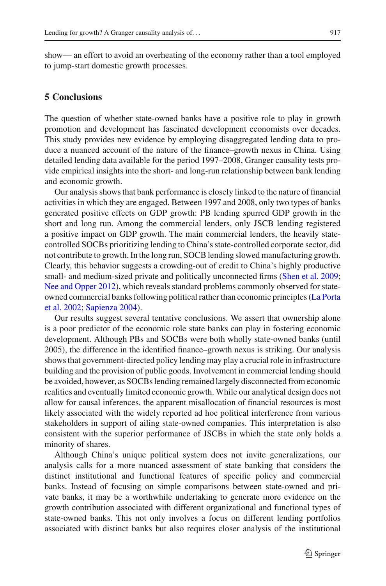show— an effort to avoid an overheating of the economy rather than a tool employed to jump-start domestic growth processes.

## <span id="page-20-0"></span>**5 Conclusions**

The question of whether state-owned banks have a positive role to play in growth promotion and development has fascinated development economists over decades. This study provides new evidence by employing disaggregated lending data to produce a nuanced account of the nature of the finance–growth nexus in China. Using detailed lending data available for the period 1997–2008, Granger causality tests provide empirical insights into the short- and long-run relationship between bank lending and economic growth.

Our analysis shows that bank performance is closely linked to the nature of financial activities in which they are engaged. Between 1997 and 2008, only two types of banks generated positive effects on GDP growth: PB lending spurred GDP growth in the short and long run. Among the commercial lenders, only JSCB lending registered a positive impact on GDP growth. The main commercial lenders, the heavily statecontrolled SOCBs prioritizing lending to China's state-controlled corporate sector, did not contribute to growth. In the long run, SOCB lending slowed manufacturing growth. Clearly, this behavior suggests a crowding-out of credit to China's highly productive small- and medium-sized private and politically unconnected firms [\(Shen et al. 2009](#page-23-8); [Nee and Opper 2012\)](#page-22-4), which reveals standard problems commonly observed for stateown[ed](#page-22-28) [commercial](#page-22-28) [banks](#page-22-28) [following](#page-22-28) [political](#page-22-28) [rather](#page-22-28) [than](#page-22-28) [economic](#page-22-28) [principles](#page-22-28) [\(](#page-22-28)La Porta et al. [2002;](#page-22-28) [Sapienza 2004](#page-23-5)).

Our results suggest several tentative conclusions. We assert that ownership alone is a poor predictor of the economic role state banks can play in fostering economic development. Although PBs and SOCBs were both wholly state-owned banks (until 2005), the difference in the identified finance–growth nexus is striking. Our analysis shows that government-directed policy lending may play a crucial role in infrastructure building and the provision of public goods. Involvement in commercial lending should be avoided, however, as SOCBs lending remained largely disconnected from economic realities and eventually limited economic growth. While our analytical design does not allow for causal inferences, the apparent misallocation of financial resources is most likely associated with the widely reported ad hoc political interference from various stakeholders in support of ailing state-owned companies. This interpretation is also consistent with the superior performance of JSCBs in which the state only holds a minority of shares.

Although China's unique political system does not invite generalizations, our analysis calls for a more nuanced assessment of state banking that considers the distinct institutional and functional features of specific policy and commercial banks. Instead of focusing on simple comparisons between state-owned and private banks, it may be a worthwhile undertaking to generate more evidence on the growth contribution associated with different organizational and functional types of state-owned banks. This not only involves a focus on different lending portfolios associated with distinct banks but also requires closer analysis of the institutional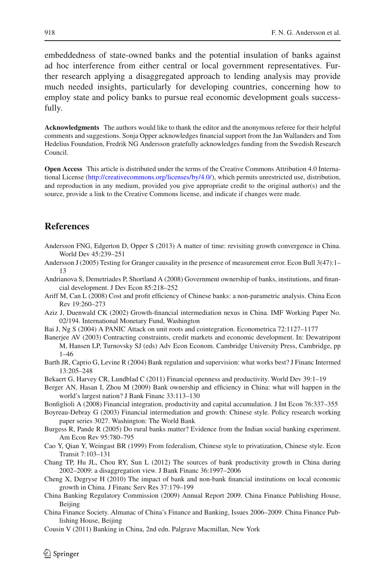embeddedness of state-owned banks and the potential insulation of banks against ad hoc interference from either central or local government representatives. Further research applying a disaggregated approach to lending analysis may provide much needed insights, particularly for developing countries, concerning how to employ state and policy banks to pursue real economic development goals successfully.

**Acknowledgments** The authors would like to thank the editor and the anonymous referee for their helpful comments and suggestions. Sonja Opper acknowledges financial support from the Jan Wallanders and Tom Hedelius Foundation, Fredrik NG Andersson gratefully acknowledges funding from the Swedish Research Council.

**Open Access** This article is distributed under the terms of the Creative Commons Attribution 4.0 International License [\(http://creativecommons.org/licenses/by/4.0/\)](http://creativecommons.org/licenses/by/4.0/), which permits unrestricted use, distribution, and reproduction in any medium, provided you give appropriate credit to the original author(s) and the source, provide a link to the Creative Commons license, and indicate if changes were made.

## **References**

- <span id="page-21-16"></span>Andersson FNG, Edgerton D, Opper S (2013) A matter of time: revisiting growth convergence in China. World Dev 45:239–251
- <span id="page-21-11"></span>Andersson J (2005) Testing for Granger causality in the presence of measurement error. Econ Bull 3(47):1– 13
- <span id="page-21-0"></span>Andrianova S, Demetriades P, Shortland A (2008) Government ownership of banks, institutions, and financial development. J Dev Econ 85:218–252
- <span id="page-21-7"></span>Ariff M, Can L (2008) Cost and profit efficiency of Chinese banks: a non-parametric analysis. China Econ Rev 19:260–273
- <span id="page-21-4"></span>Aziz J, Duenwald CK (2002) Growth-financial intermediation nexus in China. IMF Working Paper No. 02/194. International Monetary Fund, Washington
- <span id="page-21-12"></span>Bai J, Ng S (2004) A PANIC Attack on unit roots and cointegration. Econometrica 72:1127–1177
- <span id="page-21-1"></span>Banerjee AV (2003) Contracting constraints, credit markets and economic development. In: Dewatripont M, Hansen LP, Turnovsky SJ (eds) Adv Econ Econom. Cambridge University Press, Cambridge, pp 1–46
- <span id="page-21-3"></span>Barth JR, Caprio G, Levine R (2004) Bank regulation and supervision: what works best? J Financ Intermed  $13.205 - 248$
- <span id="page-21-14"></span>Bekaert G, Harvey CR, Lundblad C (2011) Financial openness and productivity. World Dev 39:1–19
- <span id="page-21-8"></span>Berger AN, Hasan I, Zhou M (2009) Bank ownership and efficiency in China: what will happen in the world's largest nation? J Bank Financ 33:113–130
- <span id="page-21-13"></span>Bonfiglioli A (2008) Financial integration, productivity and capital accumulation. J Int Econ 76:337–355
- <span id="page-21-5"></span>Boyreau-Debray G (2003) Financial intermediation and growth: Chinese style. Policy research working paper series 3027. Washington: The World Bank
- <span id="page-21-2"></span>Burgess R, Pande R (2005) Do rural banks matter? Evidence from the Indian social banking experiment. Am Econ Rev 95:780–795
- <span id="page-21-15"></span>Cao Y, Qian Y, Weingast BR (1999) From federalism, Chinese style to privatization, Chinese style. Econ Transit 7:103–131
- <span id="page-21-9"></span>Chang TP, Hu JL, Chou RY, Sun L (2012) The sources of bank productivity growth in China during 2002–2009: a disaggregation view. J Bank Financ 36:1997–2006
- <span id="page-21-6"></span>Cheng X, Degryse H (2010) The impact of bank and non-bank financial institutions on local economic growth in China. J Financ Serv Res 37:179–199
- China Banking Regulatory Commission (2009) Annual Report 2009. China Finance Publishing House, Beijing
- China Finance Society. Almanac of China's Finance and Banking, Issues 2006–2009. China Finance Publishing House, Beijing

<span id="page-21-10"></span>Cousin V (2011) Banking in China, 2nd edn. Palgrave Macmillan, New York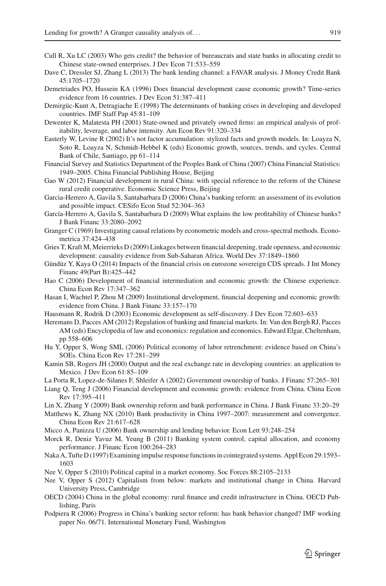- <span id="page-22-14"></span>Cull R, Xu LC (2003) Who gets credit? the behavior of bureaucrats and state banks in allocating credit to Chinese state-owned enterprises. J Dev Econ 71:533–559
- <span id="page-22-25"></span>Dave C, Dressler SJ, Zhang L (2013) The bank lending channel: a FAVAR analysis. J Money Credit Bank 45:1705–1720
- <span id="page-22-22"></span>Demetriades PO, Hussein KA (1996) Does financial development cause economic growth? Time-series evidence from 16 countries. J Dev Econ 51:387–411
- <span id="page-22-1"></span>Demirgüc-Kunt A, Detragiache E (1998) The determinants of banking crises in developing and developed countries. IMF Staff Pap 45:81–109
- <span id="page-22-7"></span>Dewenter K, Malatesta PH (2001) State-owned and privately owned firms: an empirical analysis of profitability, leverage, and labor intensity. Am Econ Rev 91:320–334
- <span id="page-22-27"></span>Easterly W, Levine R (2002) It's not factor accumulation: stylized facts and growth models. In: Loayza N, Soto R, Loayza N, Schmidt-Hebbel K (eds) Economic growth, sources, trends, and cycles. Central Bank of Chile, Santiago, pp 61–114
- Financial Survey and Statistics Department of the Peoples Bank of China (2007) China Financial Statistics: 1949–2005. China Financial Publishing House, Beijing
- <span id="page-22-16"></span>Gao W (2012) Financial development in rural China: with special reference to the reform of the Chinese rural credit cooperative. Economic Science Press, Beijing
- <span id="page-22-12"></span>Garcia-Herrero A, Gavila S, Santabarbara D (2006) China's banking reform: an assessment of its evolution and possible impact. CESifo Econ Stud 52:304–363
- <span id="page-22-13"></span>García-Herrero A, Gavila S, Santabarbara D (2009) What explains the low profitability of Chinese banks? J Bank Financ 33:2080–2092
- <span id="page-22-20"></span>Granger C (1969) Investigating causal relations by econometric models and cross-spectral methods. Econometrica 37:424–438
- <span id="page-22-19"></span>Gries T, Kraft M, Meierrieks D (2009) Linkages between financial deepening, trade openness, and economic development: causality evidence from Sub-Saharan Africa. World Dev 37:1849–1860
- <span id="page-22-24"></span>Gündüz Y, Kaya O (2014) Impacts of the financial crisis on eurozone sovereign CDS spreads. J Int Money Financ 49(Part B):425–442
- <span id="page-22-9"></span>Hao C (2006) Development of financial intermediation and economic growth: the Chinese experience. China Econ Rev 17:347–362
- <span id="page-22-10"></span>Hasan I, Wachtel P, Zhou M (2009) Institutional development, financial deepening and economic growth: evidence from China. J Bank Financ 33:157–170
- <span id="page-22-0"></span>Hausmann R, Rodrik D (2003) Economic development as self-discovery. J Dev Econ 72:603–633
- <span id="page-22-5"></span>Heremans D, Pacces AM (2012) Regulation of banking and financial markets. In: Van den Bergh RJ, Pacces AM (eds) Encyclopedia of law and economics: regulation and economics. Edward Elgar, Cheltenham, pp 558–606
- <span id="page-22-26"></span>Hu Y, Opper S, Wong SML (2006) Political economy of labor retrenchment: evidence based on China's SOEs. China Econ Rev 17:281–299
- <span id="page-22-23"></span>Kamin SB, Rogers JH (2000) Output and the real exchange rate in developing countries: an application to Mexico. J Dev Econ 61:85–109
- <span id="page-22-28"></span>La Porta R, Lopez-de-Silanes F, Shleifer A (2002) Government ownership of banks. J Financ 57:265–301
- <span id="page-22-8"></span>Liang Q, Teng J (2006) Financial development and economic growth: evidence from China. China Econ Rev 17:395–411
- <span id="page-22-15"></span>Lin X, Zhang Y (2009) Bank ownership reform and bank performance in China. J Bank Financ 33:20–29
- <span id="page-22-11"></span>Matthews K, Zhang NX (2010) Bank productivity in China 1997–2007: measurement and convergence. China Econ Rev 21:617–628
- <span id="page-22-2"></span>Micco A, Panizza U (2006) Bank ownership and lending behavior. Econ Lett 93:248–254
- <span id="page-22-6"></span>Morck R, Deniz Yavuz M, Yeung B (2011) Banking system control, capital allocation, and economy performance. J Financ Econ 100:264–283
- <span id="page-22-21"></span>Naka A, Tufte D (1997) Examining impulse response functions in cointegrated systems. Appl Econ 29:1593– 1603
- <span id="page-22-3"></span>Nee V, Opper S (2010) Political capital in a market economy. Soc Forces 88:2105–2133
- <span id="page-22-4"></span>Nee V, Opper S (2012) Capitalism from below: markets and institutional change in China. Harvard University Press, Cambridge
- <span id="page-22-18"></span>OECD (2004) China in the global economy: rural finance and credit infrastructure in China. OECD Publishing, Paris
- <span id="page-22-17"></span>Podpiera R (2006) Progress in China's banking sector reform: has bank behavior changed? IMF working paper No. 06/71. International Monetary Fund, Washington